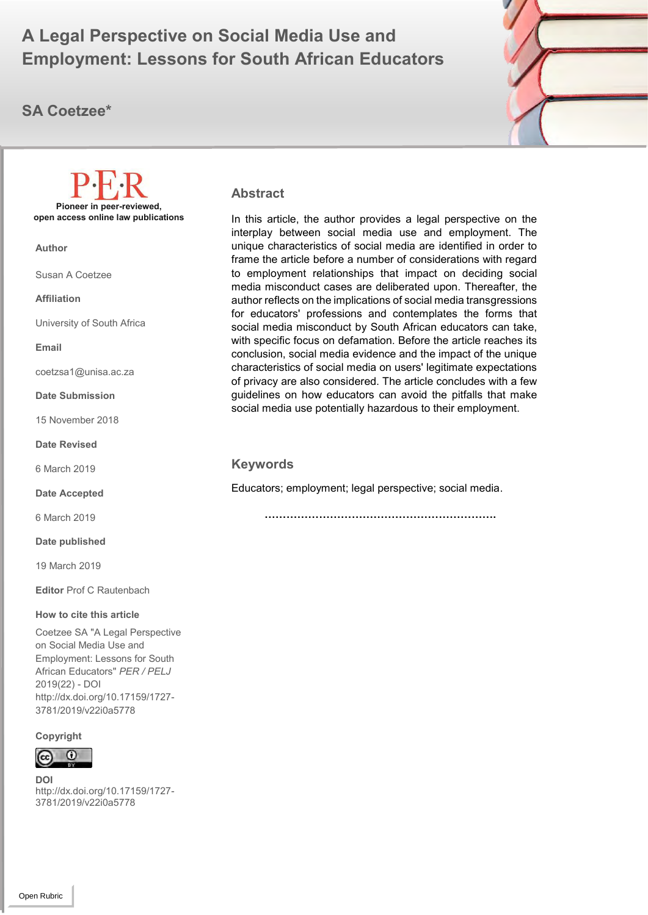# A Legal Perspective on Social Media Use and **A Employment: Lessons for South African Educators**

## **SA Coetzee\***



**Abstract**

In this article, the author provides a legal perspective on the interplay between social media use and employment. The unique characteristics of social media are identified in order to frame the article before a number of considerations with regard to employment relationships that impact on deciding social media misconduct cases are deliberated upon. Thereafter, the author reflects on the implications of social media transgressions for educators' professions and contemplates the forms that social media misconduct by South African educators can take, with specific focus on defamation. Before the article reaches its conclusion, social media evidence and the impact of the unique characteristics of social media on users' legitimate expectations of privacy are also considered. The article concludes with a few guidelines on how educators can avoid the pitfalls that make social media use potentially hazardous to their employment.

### **Keywords**

Educators; employment; legal perspective; social media.

 **……………………………………………………….**

**Pioneer in peer-reviewed, open access online law publications**

**Author**

Susan A Coetzee

**Affiliation**

University of South Africa

**Email**

coetzsa1@unisa.ac.za

**Date Submission**

15 November 2018

**Date Revised**

6 March 2019

**Date Accepted**

6 March 2019

**Date published**

19 March 2019

**Editor** Prof C Rautenbach

#### **How to cite this article**

Coetzee SA "A Legal Perspective on Social Media Use and Employment: Lessons for South African Educators" *PER / PELJ* 2019(22) - DOI http://dx.doi.org/10.17159/1727- 3781/2019/v22i0a5778

#### **Copyright**

### O

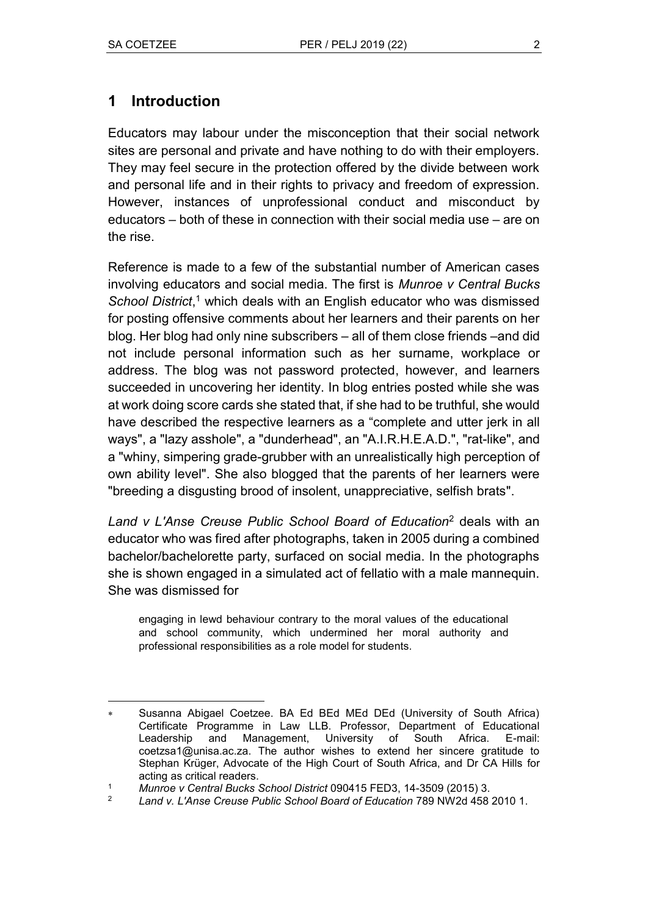## **1 Introduction**

Educators may labour under the misconception that their social network sites are personal and private and have nothing to do with their employers. They may feel secure in the protection offered by the divide between work and personal life and in their rights to privacy and freedom of expression. However, instances of unprofessional conduct and misconduct by educators – both of these in connection with their social media use – are on the rise.

Reference is made to a few of the substantial number of American cases involving educators and social media. The first is *Munroe v Central Bucks School District*, <sup>1</sup> which deals with an English educator who was dismissed for posting offensive comments about her learners and their parents on her blog. Her blog had only nine subscribers – all of them close friends –and did not include personal information such as her surname, workplace or address. The blog was not password protected, however, and learners succeeded in uncovering her identity. In blog entries posted while she was at work doing score cards she stated that, if she had to be truthful, she would have described the respective learners as a "complete and utter jerk in all ways", a "lazy asshole", a "dunderhead", an "A.I.R.H.E.A.D.", "rat-like", and a "whiny, simpering grade-grubber with an unrealistically high perception of own ability level". She also blogged that the parents of her learners were "breeding a disgusting brood of insolent, unappreciative, selfish brats".

*Land v L'Anse Creuse Public School Board of Education*<sup>2</sup> deals with an educator who was fired after photographs, taken in 2005 during a combined bachelor/bachelorette party, surfaced on social media. In the photographs she is shown engaged in a simulated act of fellatio with a male mannequin. She was dismissed for

engaging in lewd behaviour contrary to the moral values of the educational and school community, which undermined her moral authority and professional responsibilities as a role model for students.

 $\overline{a}$  Susanna Abigael Coetzee. BA Ed BEd MEd DEd (University of South Africa) Certificate Programme in Law LLB. Professor, Department of Educational Leadership and Management, University of South Africa. E-mail: coetzsa1@unisa.ac.za. The author wishes to extend her sincere gratitude to Stephan Krüger, Advocate of the High Court of South Africa, and Dr CA Hills for acting as critical readers.

<sup>1</sup> *Munroe v Central Bucks School District* 090415 FED3, 14-3509 (2015) 3.

<sup>2</sup> *Land v. L'Anse Creuse Public School Board of Education* 789 NW2d 458 2010 1.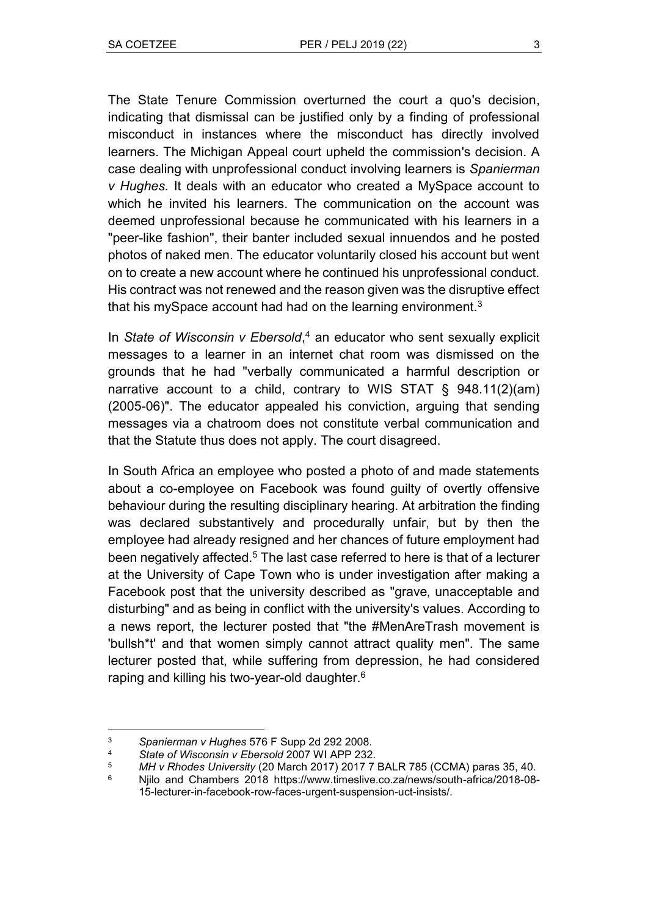The State Tenure Commission overturned the court a quo's decision, indicating that dismissal can be justified only by a finding of professional misconduct in instances where the misconduct has directly involved learners. The Michigan Appeal court upheld the commission's decision. A case dealing with unprofessional conduct involving learners is *Spanierman v Hughes.* It deals with an educator who created a MySpace account to which he invited his learners. The communication on the account was deemed unprofessional because he communicated with his learners in a "peer-like fashion", their banter included sexual innuendos and he posted photos of naked men. The educator voluntarily closed his account but went on to create a new account where he continued his unprofessional conduct. His contract was not renewed and the reason given was the disruptive effect that his mySpace account had had on the learning environment. $3$ 

In *State of Wisconsin v Ebersold*, <sup>4</sup> an educator who sent sexually explicit messages to a learner in an internet chat room was dismissed on the grounds that he had "verbally communicated a harmful description or narrative account to a child, contrary to WIS STAT § 948.11(2)(am) (2005-06)". The educator appealed his conviction, arguing that sending messages via a chatroom does not constitute verbal communication and that the Statute thus does not apply. The court disagreed.

In South Africa an employee who posted a photo of and made statements about a co-employee on Facebook was found guilty of overtly offensive behaviour during the resulting disciplinary hearing. At arbitration the finding was declared substantively and procedurally unfair, but by then the employee had already resigned and her chances of future employment had been negatively affected.<sup>5</sup> The last case referred to here is that of a lecturer at the University of Cape Town who is under investigation after making a Facebook post that the university described as "grave, unacceptable and disturbing" and as being in conflict with the university's values. According to a news report, the lecturer posted that "the #MenAreTrash movement is 'bullsh<sup>\*\*</sup>' and that women simply cannot attract quality men". The same lecturer posted that, while suffering from depression, he had considered raping and killing his two-year-old daughter.<sup>6</sup>

 $\overline{a}$ <sup>3</sup> *Spanierman v Hughes* 576 F Supp 2d 292 2008.

<sup>4</sup> *State of Wisconsin v Ebersold* 2007 WI APP 232.

<sup>5</sup> *MH v Rhodes University* (20 March 2017) 2017 7 BALR 785 (CCMA) paras 35, 40.

<sup>6</sup> Njilo and Chambers 2018 https://www.timeslive.co.za/news/south-africa/2018-08- 15-lecturer-in-facebook-row-faces-urgent-suspension-uct-insists/.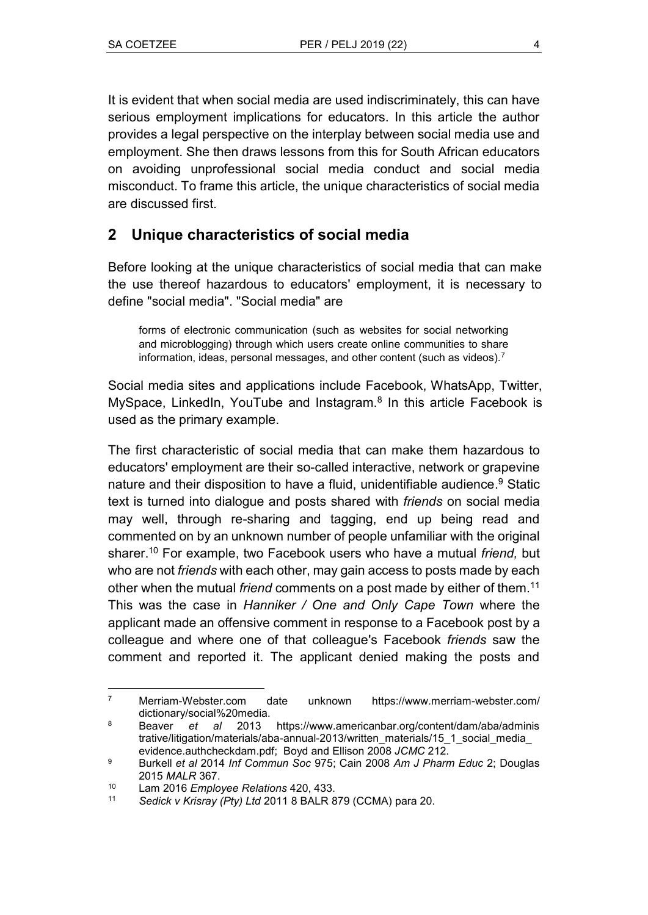It is evident that when social media are used indiscriminately, this can have serious employment implications for educators. In this article the author provides a legal perspective on the interplay between social media use and employment. She then draws lessons from this for South African educators on avoiding unprofessional social media conduct and social media misconduct. To frame this article, the unique characteristics of social media are discussed first.

## **2 Unique characteristics of social media**

Before looking at the unique characteristics of social media that can make the use thereof hazardous to educators' employment, it is necessary to define "social media". "Social media" are

forms of electronic communication (such as websites for social networking and microblogging) through which users create online communities to share information, ideas, personal messages, and other content (such as videos).<sup>7</sup>

Social media sites and applications include Facebook, WhatsApp, Twitter, MySpace, LinkedIn, YouTube and Instagram.<sup>8</sup> In this article Facebook is used as the primary example.

The first characteristic of social media that can make them hazardous to educators' employment are their so-called interactive, network or grapevine nature and their disposition to have a fluid, unidentifiable audience. <sup>9</sup> Static text is turned into dialogue and posts shared with *friends* on social media may well, through re-sharing and tagging, end up being read and commented on by an unknown number of people unfamiliar with the original sharer.<sup>10</sup> For example, two Facebook users who have a mutual *friend,* but who are not *friends* with each other, may gain access to posts made by each other when the mutual *friend* comments on a post made by either of them.<sup>11</sup> This was the case in *Hanniker / One and Only Cape Town* where the applicant made an offensive comment in response to a Facebook post by a colleague and where one of that colleague's Facebook *friends* saw the comment and reported it. The applicant denied making the posts and

 $\overline{7}$ <sup>7</sup> Merriam-Webster.com date unknown https://www.merriam-webster.com/ dictionary/social%20media.

<sup>8</sup> Beaver *et al* 2013 https://www.americanbar.org/content/dam/aba/adminis trative/litigation/materials/aba-annual-2013/written\_materials/15\_1\_social\_media\_ evidence.authcheckdam.pdf; Boyd and Ellison 2008 *JCMC* 212.

<sup>9</sup> Burkell *et al* 2014 *Inf Commun Soc* 975; Cain 2008 *Am J Pharm Educ* 2; Douglas 2015 *MALR* 367.

<sup>10</sup> Lam 2016 *Employee Relations* 420, 433.

<sup>11</sup> *Sedick v Krisray (Pty) Ltd* 2011 8 BALR 879 (CCMA) para 20.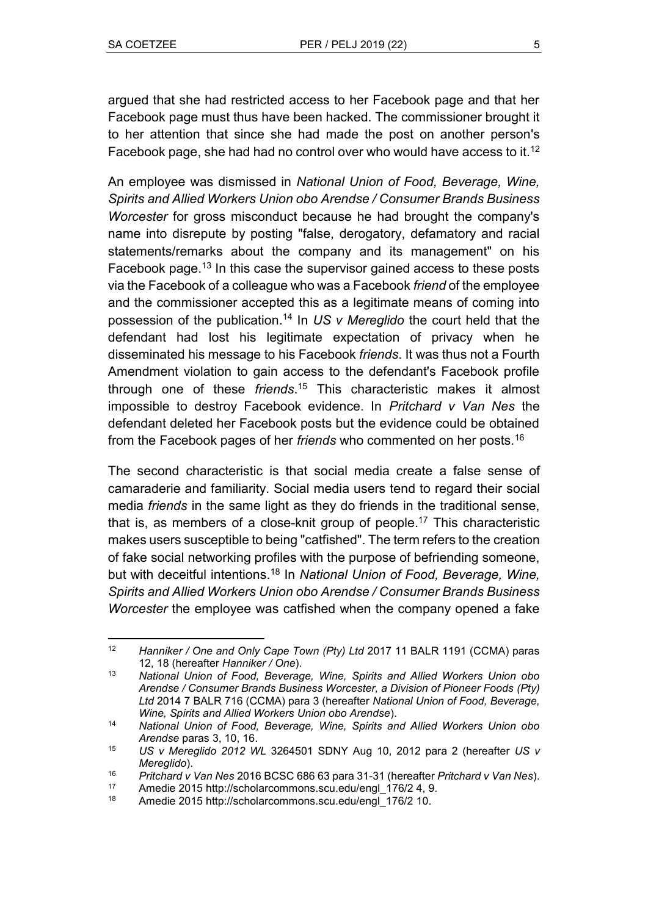argued that she had restricted access to her Facebook page and that her Facebook page must thus have been hacked. The commissioner brought it to her attention that since she had made the post on another person's Facebook page, she had had no control over who would have access to it.<sup>12</sup>

An employee was dismissed in *National Union of Food, Beverage, Wine, Spirits and Allied Workers Union obo Arendse / Consumer Brands Business Worcester* for gross misconduct because he had brought the company's name into disrepute by posting "false, derogatory, defamatory and racial statements/remarks about the company and its management" on his Facebook page.<sup>13</sup> In this case the supervisor gained access to these posts via the Facebook of a colleague who was a Facebook *friend* of the employee and the commissioner accepted this as a legitimate means of coming into possession of the publication.<sup>14</sup> In *US v Mereglido* the court held that the defendant had lost his legitimate expectation of privacy when he disseminated his message to his Facebook *friends*. It was thus not a Fourth Amendment violation to gain access to the defendant's Facebook profile through one of these *friends*. <sup>15</sup> This characteristic makes it almost impossible to destroy Facebook evidence. In *Pritchard v Van Nes* the defendant deleted her Facebook posts but the evidence could be obtained from the Facebook pages of her *friends* who commented on her posts.<sup>16</sup>

The second characteristic is that social media create a false sense of camaraderie and familiarity. Social media users tend to regard their social media *friends* in the same light as they do friends in the traditional sense, that is, as members of a close-knit group of people. <sup>17</sup> This characteristic makes users susceptible to being "catfished". The term refers to the creation of fake social networking profiles with the purpose of befriending someone, but with deceitful intentions.<sup>18</sup> In *National Union of Food, Beverage, Wine, Spirits and Allied Workers Union obo Arendse / Consumer Brands Business Worcester* the employee was catfished when the company opened a fake

 $\overline{a}$ <sup>12</sup> *Hanniker / One and Only Cape Town (Pty) Ltd* 2017 11 BALR 1191 (CCMA) paras 12, 18 (hereafter *Hanniker / One*).

<sup>13</sup> *National Union of Food, Beverage, Wine, Spirits and Allied Workers Union obo Arendse / Consumer Brands Business Worcester, a Division of Pioneer Foods (Pty) Ltd* 2014 7 BALR 716 (CCMA) para 3 (hereafter *National Union of Food, Beverage, Wine, Spirits and Allied Workers Union obo Arendse*).

<sup>14</sup> *National Union of Food, Beverage, Wine, Spirits and Allied Workers Union obo Arendse* paras 3, 10, 16.

<sup>15</sup> *US v Mereglido 2012 WL* 3264501 SDNY Aug 10, 2012 para 2 (hereafter *US v Mereglido*).

<sup>16</sup> *Pritchard v Van Nes* 2016 BCSC 686 63 para 31-31 (hereafter *Pritchard v Van Nes*).

<sup>17</sup> Amedie 2015 [http://scholarcommons.scu.edu/engl\\_176/2](http://scholarcommons.scu.edu/engl_176/2) 4, 9.<br>18 Amedie 2015 http://scholarcommons.scu.edu/engl\_176/2 10

Amedie 2015 [http://scholarcommons.scu.edu/engl\\_176/2](http://scholarcommons.scu.edu/engl_176/2) 10.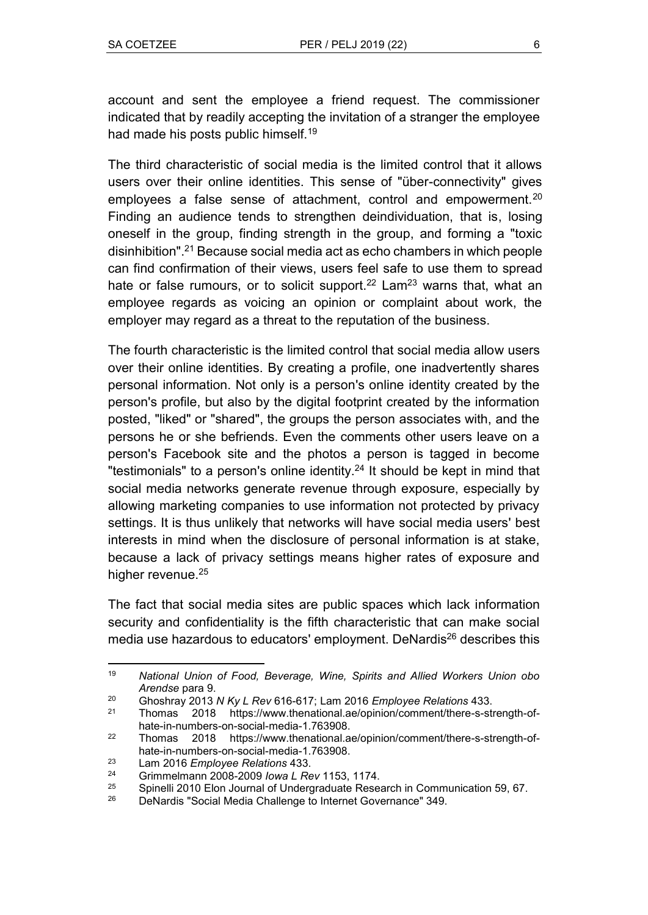account and sent the employee a friend request. The commissioner indicated that by readily accepting the invitation of a stranger the employee had made his posts public himself.<sup>19</sup>

The third characteristic of social media is the limited control that it allows users over their online identities. This sense of "über-connectivity" gives employees a false sense of attachment, control and empowerment.<sup>20</sup> Finding an audience tends to strengthen deindividuation, that is, losing oneself in the group, finding strength in the group, and forming a "toxic disinhibition".<sup>21</sup> Because social media act as echo chambers in which people can find confirmation of their views, users feel safe to use them to spread hate or false rumours, or to solicit support.<sup>22</sup> Lam<sup>23</sup> warns that, what an employee regards as voicing an opinion or complaint about work, the employer may regard as a threat to the reputation of the business.

The fourth characteristic is the limited control that social media allow users over their online identities. By creating a profile, one inadvertently shares personal information. Not only is a person's online identity created by the person's profile, but also by the digital footprint created by the information posted, "liked" or "shared", the groups the person associates with, and the persons he or she befriends. Even the comments other users leave on a person's Facebook site and the photos a person is tagged in become "testimonials" to a person's online identity.<sup>24</sup> It should be kept in mind that social media networks generate revenue through exposure, especially by allowing marketing companies to use information not protected by privacy settings. It is thus unlikely that networks will have social media users' best interests in mind when the disclosure of personal information is at stake, because a lack of privacy settings means higher rates of exposure and higher revenue.<sup>25</sup>

The fact that social media sites are public spaces which lack information security and confidentiality is the fifth characteristic that can make social media use hazardous to educators' employment. DeNardis<sup>26</sup> describes this

 $\overline{a}$ <sup>19</sup> *National Union of Food, Beverage, Wine, Spirits and Allied Workers Union obo Arendse* para 9.

<sup>20</sup> Ghoshray 2013 *N Ky L Rev* 616-617; Lam 2016 *Employee Relations* 433.

<sup>21</sup> Thomas 2018 https://www.thenational.ae/opinion/comment/there-s-strength-ofhate-in-numbers-on-social-media-1.763908.

<sup>22</sup> Thomas 2018 https://www.thenational.ae/opinion/comment/there-s-strength-ofhate-in-numbers-on-social-media-1.763908.

<sup>23</sup> Lam 2016 *Employee Relations* 433.

<sup>24</sup> Grimmelmann 2008-2009 *Iowa L Rev* 1153, 1174.

<sup>&</sup>lt;sup>25</sup> Spinelli 2010 Elon Journal of Undergraduate Research in Communication 59, 67.<br><sup>26</sup> DeNardis "Social Media Challenge to Internet Governance" 349.

DeNardis "Social Media Challenge to Internet Governance" 349.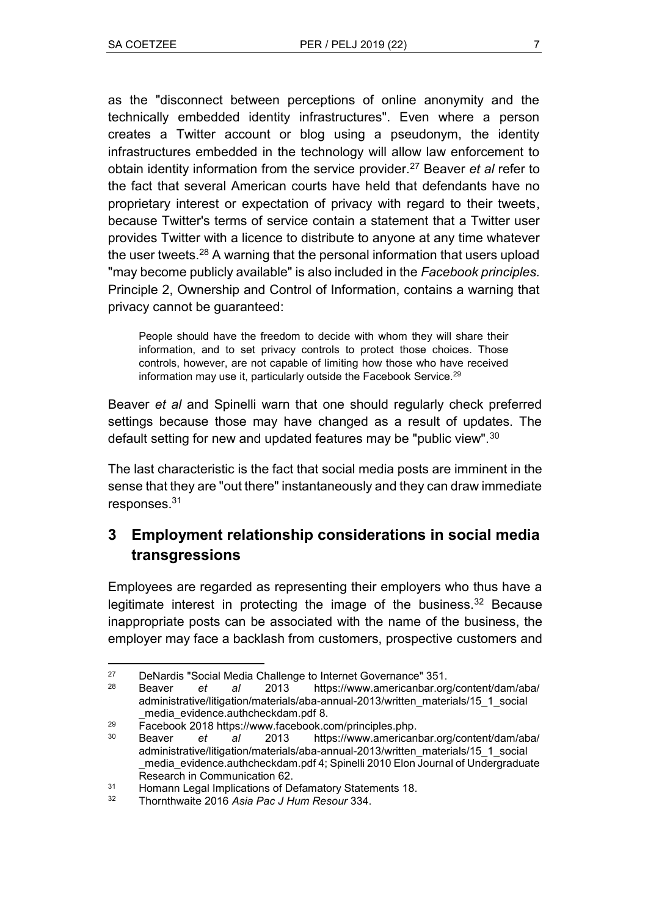as the "disconnect between perceptions of online anonymity and the technically embedded identity infrastructures". Even where a person creates a Twitter account or blog using a pseudonym, the identity infrastructures embedded in the technology will allow law enforcement to obtain identity information from the service provider.<sup>27</sup> Beaver *et al* refer to the fact that several American courts have held that defendants have no proprietary interest or expectation of privacy with regard to their tweets, because Twitter's terms of service contain a statement that a Twitter user provides Twitter with a licence to distribute to anyone at any time whatever the user tweets.<sup>28</sup> A warning that the personal information that users upload "may become publicly available" is also included in the *Facebook principles*. Principle 2, Ownership and Control of Information, contains a warning that privacy cannot be guaranteed:

People should have the freedom to decide with whom they will share their information, and to set privacy controls to protect those choices. Those controls, however, are not capable of limiting how those who have received information may use it, particularly outside the Facebook Service.<sup>29</sup>

Beaver *et al* and Spinelli warn that one should regularly check preferred settings because those may have changed as a result of updates. The default setting for new and updated features may be "public view".<sup>30</sup>

The last characteristic is the fact that social media posts are imminent in the sense that they are "out there" instantaneously and they can draw immediate responses.<sup>31</sup>

# **3 Employment relationship considerations in social media transgressions**

Employees are regarded as representing their employers who thus have a legitimate interest in protecting the image of the business.<sup>32</sup> Because inappropriate posts can be associated with the name of the business, the employer may face a backlash from customers, prospective customers and

 $27$ <sup>27</sup> DeNardis "Social Media Challenge to Internet Governance" 351.<br><sup>28</sup> Peaver at al., 2013 https://www.omerisanbar.org

<sup>28</sup> Beaver *et al* 2013 [https://www.americanbar.org/content/dam/aba/](https://www.americanbar.org/content/dam/aba/administrative/litigation/materials/aba-annual-2013/written_materials/15_1_social_media_evidence.authcheckdam.pdf) [administrative/litigation/materials/aba-annual-2013/written\\_materials/15\\_1\\_social](https://www.americanbar.org/content/dam/aba/administrative/litigation/materials/aba-annual-2013/written_materials/15_1_social_media_evidence.authcheckdam.pdf) media\_evidence.authcheckdam.pdf 8.

<sup>29</sup> Facebook 2018 [https://www.facebook.com/principles.php.](https://www.facebook.com/principles.php)

<sup>30</sup> Beaver *et al* 2013 https://www.americanbar.org/content/dam/aba/ administrative/litigation/materials/aba-annual-2013/written\_materials/15\_1\_social \_media\_evidence.authcheckdam.pdf 4; Spinelli 2010 Elon Journal of Undergraduate Research in Communication 62.

<sup>&</sup>lt;sup>31</sup> Homann Legal Implications of Defamatory Statements 18.<br><sup>32</sup> Thornthwaite 2016 Asia Rac I Hum Resour 334

<sup>32</sup> Thornthwaite 2016 *Asia Pac J Hum Resour* 334.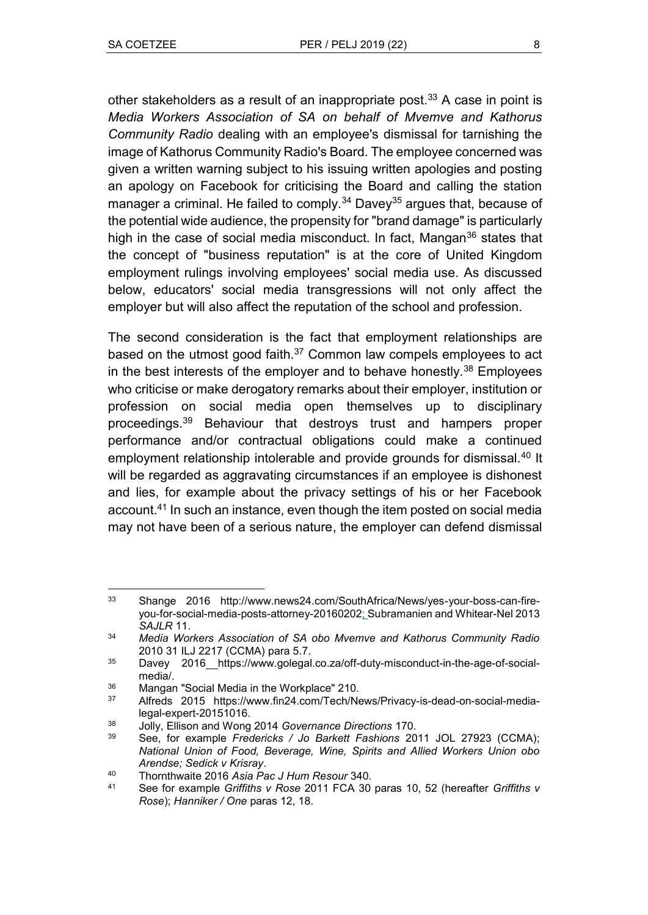other stakeholders as a result of an inappropriate post.<sup>33</sup> A case in point is *Media Workers Association of SA on behalf of Mvemve and Kathorus Community Radio* dealing with an employee's dismissal for tarnishing the image of Kathorus Community Radio's Board. The employee concerned was given a written warning subject to his issuing written apologies and posting an apology on Facebook for criticising the Board and calling the station manager a criminal. He failed to comply. $34$  Davey<sup>35</sup> argues that, because of the potential wide audience, the propensity for "brand damage" is particularly high in the case of social media misconduct. In fact, Mangan $36$  states that the concept of "business reputation" is at the core of United Kingdom employment rulings involving employees' social media use. As discussed below, educators' social media transgressions will not only affect the employer but will also affect the reputation of the school and profession.

The second consideration is the fact that employment relationships are based on the utmost good faith.<sup>37</sup> Common law compels employees to act in the best interests of the employer and to behave honestly. $38$  Employees who criticise or make derogatory remarks about their employer, institution or profession on social media open themselves up to disciplinary proceedings.<sup>39</sup> Behaviour that destroys trust and hampers proper performance and/or contractual obligations could make a continued employment relationship intolerable and provide grounds for dismissal.<sup>40</sup> It will be regarded as aggravating circumstances if an employee is dishonest and lies, for example about the privacy settings of his or her Facebook account.<sup>41</sup> In such an instance, even though the item posted on social media may not have been of a serious nature, the employer can defend dismissal

 $\overline{a}$ <sup>33</sup> Shange 2016 http://www.news24.com/SouthAfrica/News/yes-your-boss-can-fireyou-for-social-media-posts-attorney-20160202; Subramanien and Whitear-Nel 2013 *SAJLR* 11.

<sup>34</sup> *Media Workers Association of SA obo Mvemve and Kathorus Community Radio* 2010 31 ILJ 2217 (CCMA) para 5.7.

<sup>&</sup>lt;sup>35</sup> Davey 2016 https://www.golegal.co.za/off-duty-misconduct-in-the-age-of-socialmedia/.

 $36$  Mangan "Social Media in the Workplace" 210.

<sup>37</sup> Alfreds 2015 https://www.fin24.com/Tech/News/Privacy-is-dead-on-social-medialegal-expert-20151016.

<sup>38</sup> Jolly, Ellison and Wong 2014 *Governance Directions* 170.

<sup>39</sup> See, for example *Fredericks / Jo Barkett Fashions* 2011 JOL 27923 (CCMA); *National Union of Food, Beverage, Wine, Spirits and Allied Workers Union obo Arendse; Sedick v Krisray*.

<sup>40</sup> Thornthwaite 2016 *Asia Pac J Hum Resour* 340.

<sup>41</sup> See for example *Griffiths v Rose* 2011 FCA 30 paras 10, 52 (hereafter *Griffiths v Rose*); *Hanniker / One* paras 12, 18.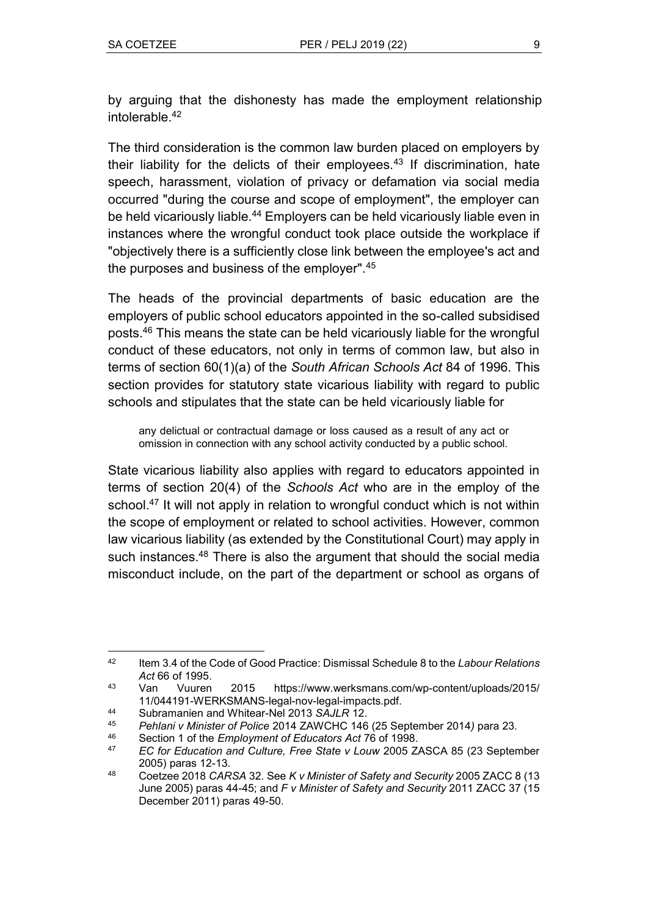by arguing that the dishonesty has made the employment relationship intolerable.<sup>42</sup>

The third consideration is the common law burden placed on employers by their liability for the delicts of their employees.<sup>43</sup> If discrimination, hate speech, harassment, violation of privacy or defamation via social media occurred "during the course and scope of employment", the employer can be held vicariously liable.<sup>44</sup> Employers can be held vicariously liable even in instances where the wrongful conduct took place outside the workplace if ʺobjectively there is a sufficiently close link between the employee's act and the purposes and business of the employer". $45$ 

The heads of the provincial departments of basic education are the employers of public school educators appointed in the so-called subsidised posts.<sup>46</sup> This means the state can be held vicariously liable for the wrongful conduct of these educators, not only in terms of common law, but also in terms of section 60(1)(a) of the *South African Schools Act* 84 of 1996. This section provides for statutory state vicarious liability with regard to public schools and stipulates that the state can be held vicariously liable for

any delictual or contractual damage or loss caused as a result of any act or omission in connection with any school activity conducted by a public school.

State vicarious liability also applies with regard to educators appointed in terms of section 20(4) of the *Schools Act* who are in the employ of the school.<sup>47</sup> It will not apply in relation to wrongful conduct which is not within the scope of employment or related to school activities. However, common law vicarious liability (as extended by the Constitutional Court) may apply in such instances.<sup>48</sup> There is also the argument that should the social media misconduct include, on the part of the department or school as organs of

 $\overline{a}$ <sup>42</sup> Item 3.4 of the Code of Good Practice: Dismissal Schedule 8 to the *Labour Relations Act* 66 of 1995.

<sup>43</sup> Van Vuuren 2015 https://www.werksmans.com/wp-content/uploads/2015/ 11/044191-WERKSMANS-legal-nov-legal-impacts.pdf.

<sup>44</sup> Subramanien and Whitear-Nel 2013 *SAJLR* 12.

<sup>45</sup> *Pehlani v Minister of Police* 2014 ZAWCHC 146 (25 September 2014*)* para 23.

<sup>46</sup> Section 1 of the *Employment of Educators Act* 76 of 1998.

<sup>47</sup> *EC for Education and Culture, Free State v Louw* 2005 ZASCA 85 (23 September 2005) paras 12-13.

<sup>48</sup> Coetzee 2018 *CARSA* 32. See *K v Minister of Safety and Security* 2005 ZACC 8 (13 June 2005) paras 44-45; and *F v Minister of Safety and Security* 2011 ZACC 37 (15 December 2011) paras 49-50.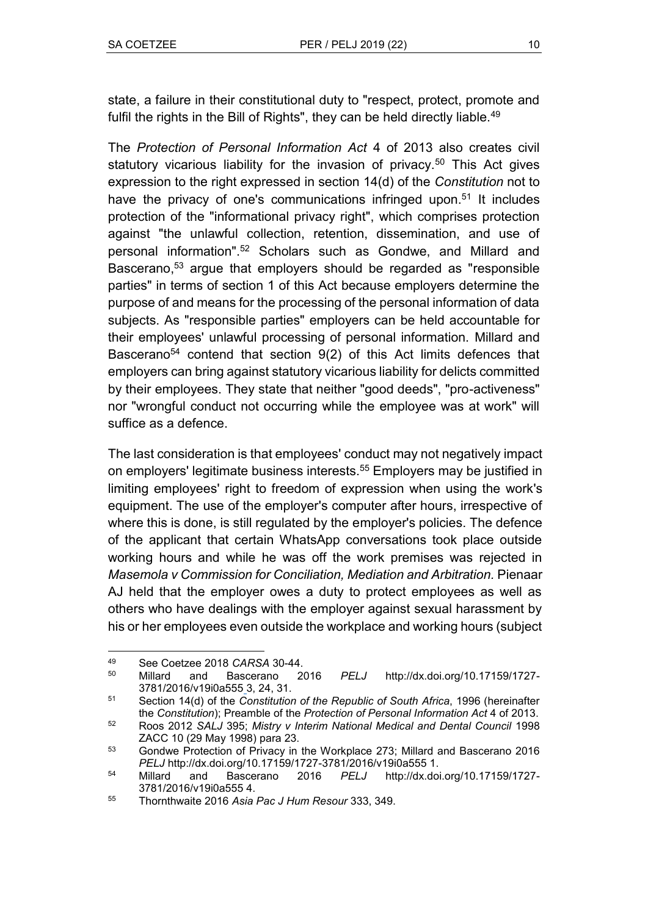state, a failure in their constitutional duty to "respect, protect, promote and fulfil the rights in the Bill of Rights", they can be held directly liable.<sup>49</sup>

The *Protection of Personal Information Act* 4 of 2013 also creates civil statutory vicarious liability for the invasion of privacy.<sup>50</sup> This Act gives expression to the right expressed in section 14(d) of the *Constitution* not to have the privacy of one's communications infringed upon.<sup>51</sup> It includes protection of the "informational privacy right", which comprises protection against "the unlawful collection, retention, dissemination, and use of personal information".<sup>52</sup> Scholars such as Gondwe, and Millard and Bascerano,<sup>53</sup> argue that employers should be regarded as "responsible parties" in terms of section 1 of this Act because employers determine the purpose of and means for the processing of the personal information of data subjects. As "responsible parties" employers can be held accountable for their employees' unlawful processing of personal information. Millard and Bascerano<sup>54</sup> contend that section 9(2) of this Act limits defences that employers can bring against statutory vicarious liability for delicts committed by their employees. They state that neither "good deeds", "pro-activeness" nor "wrongful conduct not occurring while the employee was at work" will suffice as a defence.

The last consideration is that employees' conduct may not negatively impact on employers' legitimate business interests.<sup>55</sup> Employers may be justified in limiting employees' right to freedom of expression when using the work's equipment. The use of the employer's computer after hours, irrespective of where this is done, is still regulated by the employer's policies. The defence of the applicant that certain WhatsApp conversations took place outside working hours and while he was off the work premises was rejected in *Masemola v Commission for Conciliation, Mediation and Arbitration.* Pienaar AJ held that the employer owes a duty to protect employees as well as others who have dealings with the employer against sexual harassment by his or her employees even outside the workplace and working hours (subject

<sup>49</sup> <sup>49</sup> See Coetzee 2018 *CARSA* 30-44.

<sup>50</sup> Millard and Bascerano 2016 *PELJ* http://dx.doi.org/10.17159/1727- 3781/2016/v19i0a555 3, 24, 31.

<sup>51</sup> Section 14(d) of the *Constitution of the Republic of South Africa*, 1996 (hereinafter the *Constitution*); Preamble of the *Protection of Personal Information Act* 4 of 2013.

<sup>52</sup> Roos 2012 *SALJ* 395; *Mistry v Interim National Medical and Dental Council* 1998 ZACC 10 (29 May 1998) para 23.

<sup>53</sup> Gondwe Protection of Privacy in the Workplace 273; Millard and Bascerano 2016

*PELJ* http://dx.doi.org/10.17159/1727-3781/2016/v19i0a555 1. <sup>54</sup> Millard and Bascerano 2016 *PELJ* http://dx.doi.org/10.17159/1727- 3781/2016/v19i0a555 4.

<sup>55</sup> Thornthwaite 2016 *Asia Pac J Hum Resour* 333, 349.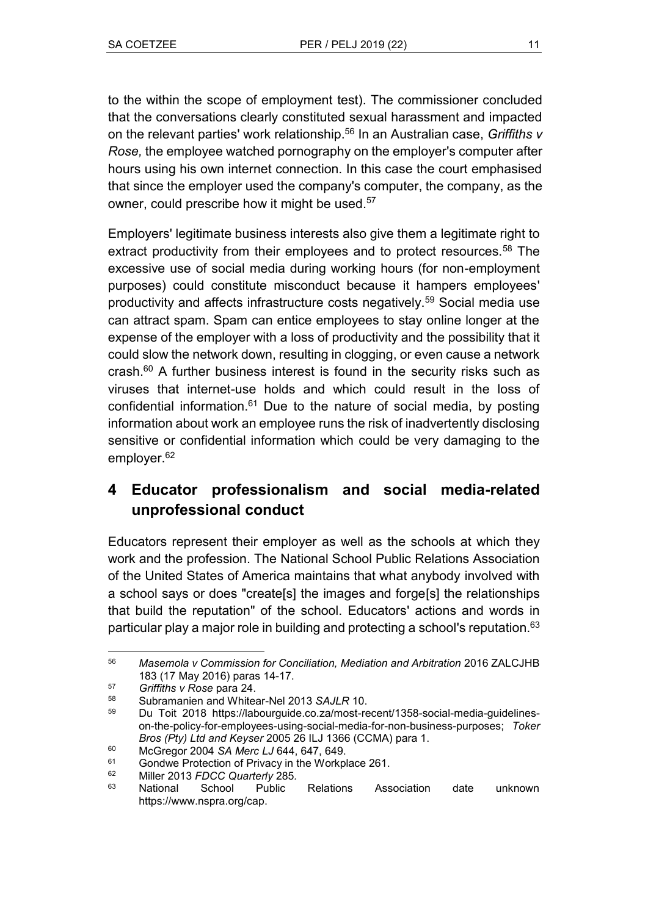to the within the scope of employment test). The commissioner concluded that the conversations clearly constituted sexual harassment and impacted on the relevant parties' work relationship.<sup>56</sup> In an Australian case, *Griffiths v Rose,* the employee watched pornography on the employer's computer after hours using his own internet connection. In this case the court emphasised that since the employer used the company's computer, the company, as the owner, could prescribe how it might be used.<sup>57</sup>

Employers' legitimate business interests also give them a legitimate right to extract productivity from their employees and to protect resources.<sup>58</sup> The excessive use of social media during working hours (for non-employment purposes) could constitute misconduct because it hampers employees' productivity and affects infrastructure costs negatively.<sup>59</sup> Social media use can attract spam. Spam can entice employees to stay online longer at the expense of the employer with a loss of productivity and the possibility that it could slow the network down, resulting in clogging, or even cause a network crash. $60$  A further business interest is found in the security risks such as viruses that internet-use holds and which could result in the loss of confidential information. $61$  Due to the nature of social media, by posting information about work an employee runs the risk of inadvertently disclosing sensitive or confidential information which could be very damaging to the employer.<sup>62</sup>

## **4 Educator professionalism and social media-related unprofessional conduct**

Educators represent their employer as well as the schools at which they work and the profession. The National School Public Relations Association of the United States of America maintains that what anybody involved with a school says or does "create[s] the images and forge[s] the relationships that build the reputation" of the school. Educators' actions and words in particular play a major role in building and protecting a school's reputation.<sup>63</sup>

<sup>56</sup> <sup>56</sup> *Masemola v Commission for Conciliation, Mediation and Arbitration* 2016 ZALCJHB 183 (17 May 2016) paras 14-17.

<sup>57</sup> *Griffiths v Rose* para 24.

<sup>58</sup> Subramanien and Whitear-Nel 2013 *SAJLR* 10.

<sup>59</sup> Du Toit 2018 https://labourguide.co.za/most-recent/1358-social-media-guidelineson-the-policy-for-employees-using-social-media-for-non-business-purposes; *Toker Bros (Pty) Ltd and Keyser* 2005 26 ILJ 1366 (CCMA) para 1.

<sup>60</sup> McGregor 2004 *SA Merc LJ* 644, 647, 649.

<sup>&</sup>lt;sup>61</sup> Gondwe Protection of Privacy in the Workplace 261.<br><sup>62</sup> Miller 2013 EDCC Quarterly 285

<sup>62</sup> Miller 2013 *FDCC Quarterly* 285*.*

<sup>63</sup> National School Public Relations Association date unknown https://www.nspra.org/cap.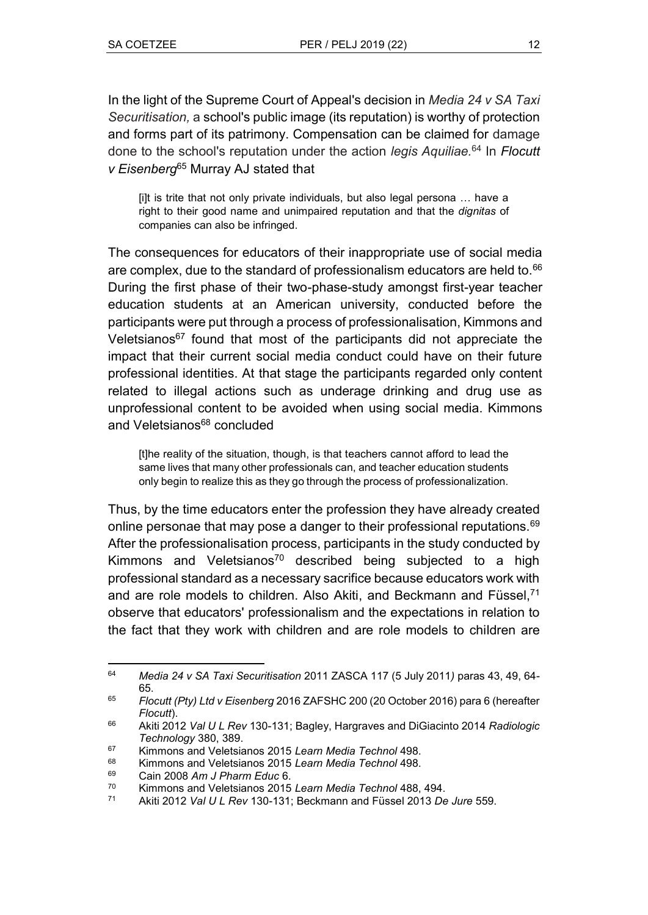In the light of the Supreme Court of Appeal's decision in *Media 24 v SA Taxi Securitisation,* a school's public image (its reputation) is worthy of protection and forms part of its patrimony. Compensation can be claimed for damage done to the school's reputation under the action *legis Aquiliae.*<sup>64</sup> In *Flocutt v Eisenberg*<sup>65</sup> Murray AJ stated that

[i]t is trite that not only private individuals, but also legal persona … have a right to their good name and unimpaired reputation and that the *dignitas* of companies can also be infringed.

The consequences for educators of their inappropriate use of social media are complex, due to the standard of professionalism educators are held to. $66$ During the first phase of their two-phase-study amongst first-year teacher education students at an American university, conducted before the participants were put through a process of professionalisation, Kimmons and Veletsianos $67$  found that most of the participants did not appreciate the impact that their current social media conduct could have on their future professional identities. At that stage the participants regarded only content related to illegal actions such as underage drinking and drug use as unprofessional content to be avoided when using social media. Kimmons and Veletsianos<sup>68</sup> concluded

[t]he reality of the situation, though, is that teachers cannot afford to lead the same lives that many other professionals can, and teacher education students only begin to realize this as they go through the process of professionalization.

Thus, by the time educators enter the profession they have already created online personae that may pose a danger to their professional reputations.<sup>69</sup> After the professionalisation process, participants in the study conducted by Kimmons and Veletsianos<sup>70</sup> described being subjected to a high professional standard as a necessary sacrifice because educators work with and are role models to children. Also Akiti, and Beckmann and Füssel,<sup>71</sup> observe that educators' professionalism and the expectations in relation to the fact that they work with children and are role models to children are

 $\overline{a}$ <sup>64</sup> *Media 24 v SA Taxi Securitisation* 2011 ZASCA 117 (5 July 2011*)* paras 43, 49, 64- 65.

<sup>65</sup> *Flocutt (Pty) Ltd v Eisenberg* 2016 ZAFSHC 200 (20 October 2016) para 6 (hereafter *Flocutt*).

<sup>66</sup> Akiti 2012 *Val U L Rev* 130-131; Bagley, Hargraves and DiGiacinto 2014 *Radiologic Technology* 380, 389.

<sup>67</sup> Kimmons and Veletsianos 2015 *Learn Media Technol* 498.

<sup>68</sup> Kimmons and Veletsianos 2015 *Learn Media Technol* 498.

<sup>69</sup> Cain 2008 *Am J Pharm Educ* 6.

<sup>70</sup> Kimmons and Veletsianos 2015 *Learn Media Technol* 488, 494.

<sup>71</sup> Akiti 2012 *Val U L Rev* 130-131; Beckmann and Füssel 2013 *De Jure* 559.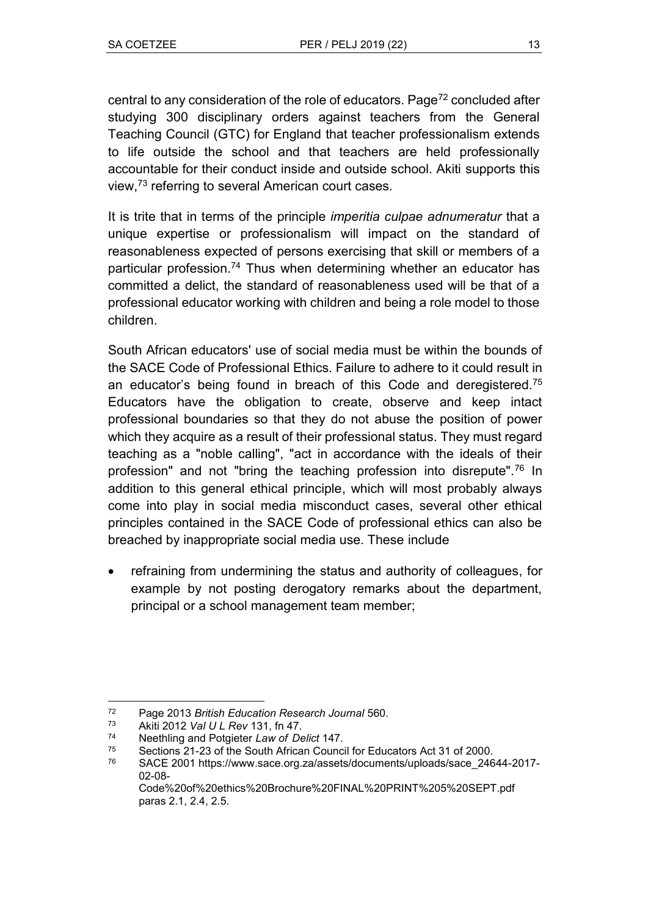central to any consideration of the role of educators. Page<sup>72</sup> concluded after studying 300 disciplinary orders against teachers from the General Teaching Council (GTC) for England that teacher professionalism extends to life outside the school and that teachers are held professionally accountable for their conduct inside and outside school. Akiti supports this view, <sup>73</sup> referring to several American court cases.

It is trite that in terms of the principle *imperitia culpae adnumeratur* that a unique expertise or professionalism will impact on the standard of reasonableness expected of persons exercising that skill or members of a particular profession.<sup>74</sup> Thus when determining whether an educator has committed a delict, the standard of reasonableness used will be that of a professional educator working with children and being a role model to those children.

South African educators' use of social media must be within the bounds of the SACE Code of Professional Ethics. Failure to adhere to it could result in an educator's being found in breach of this Code and deregistered.<sup>75</sup> Educators have the obligation to create, observe and keep intact professional boundaries so that they do not abuse the position of power which they acquire as a result of their professional status. They must regard teaching as a "noble calling", "act in accordance with the ideals of their profession" and not "bring the teaching profession into disrepute".<sup>76</sup> In addition to this general ethical principle, which will most probably always come into play in social media misconduct cases, several other ethical principles contained in the SACE Code of professional ethics can also be breached by inappropriate social media use. These include

• refraining from undermining the status and authority of colleagues, for example by not posting derogatory remarks about the department, principal or a school management team member;

 $72$ <sup>72</sup> Page 2013 *British Education Research Journal* 560.

<sup>73</sup> Akiti 2012 *Val U L Rev* 131, fn 47.

<sup>74</sup> Neethling and Potgieter *Law of Delict* 147.

Sections 21-23 of the South African Council for Educators Act 31 of 2000.

<sup>76</sup> SACE 2001 https://www.sace.org.za/assets/documents/uploads/sace\_24644-2017- 02-08-

Code%20of%20ethics%20Brochure%20FINAL%20PRINT%205%20SEPT.pdf paras 2.1, 2.4, 2.5.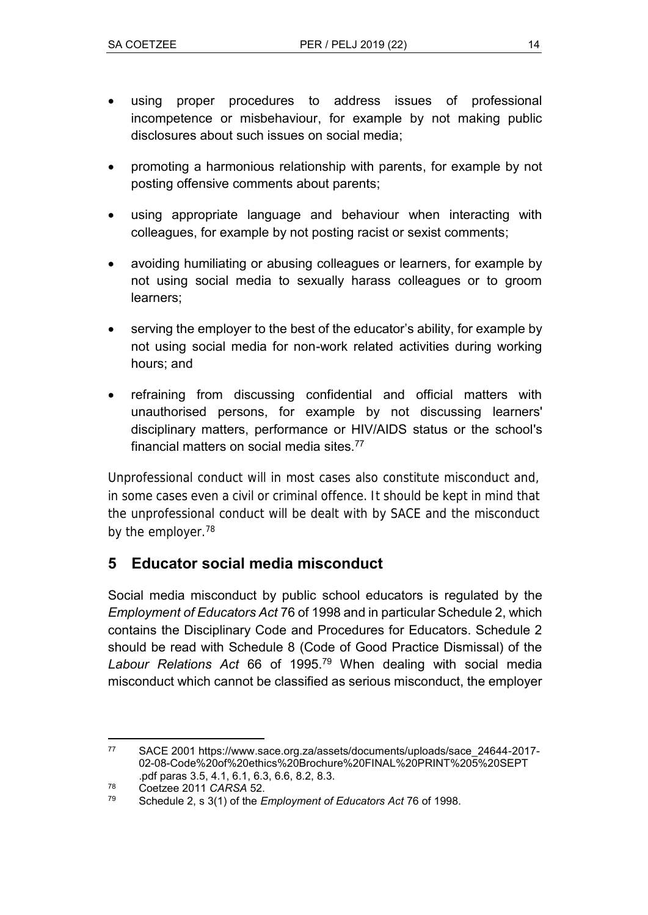- using proper procedures to address issues of professional incompetence or misbehaviour, for example by not making public disclosures about such issues on social media;
- promoting a harmonious relationship with parents, for example by not posting offensive comments about parents;
- using appropriate language and behaviour when interacting with colleagues, for example by not posting racist or sexist comments;
- avoiding humiliating or abusing colleagues or learners, for example by not using social media to sexually harass colleagues or to groom learners;
- serving the employer to the best of the educator's ability, for example by not using social media for non-work related activities during working hours; and
- refraining from discussing confidential and official matters with unauthorised persons, for example by not discussing learners' disciplinary matters, performance or HIV/AIDS status or the school's financial matters on social media sites.<sup>77</sup>

Unprofessional conduct will in most cases also constitute misconduct and, in some cases even a civil or criminal offence. It should be kept in mind that the unprofessional conduct will be dealt with by SACE and the misconduct by the employer.<sup>78</sup>

## **5 Educator social media misconduct**

Social media misconduct by public school educators is regulated by the *Employment of Educators Act* 76 of 1998 and in particular Schedule 2, which contains the Disciplinary Code and Procedures for Educators. Schedule 2 should be read with Schedule 8 (Code of Good Practice Dismissal) of the *Labour Relations Act* 66 of 1995.<sup>79</sup> When dealing with social media misconduct which cannot be classified as serious misconduct, the employer

 $\overline{a}$ <sup>77</sup> SACE 2001 https://www.sace.org.za/assets/documents/uploads/sace\_24644-2017- 02-08-Code%20of%20ethics%20Brochure%20FINAL%20PRINT%205%20SEPT .pdf paras 3.5, 4.1, 6.1, 6.3, 6.6, 8.2, 8.3.

 $^{78}$  Coetzee 2011 *CARSA* 52.

<sup>79</sup> Schedule 2, s 3(1) of the *Employment of Educators Act* 76 of 1998.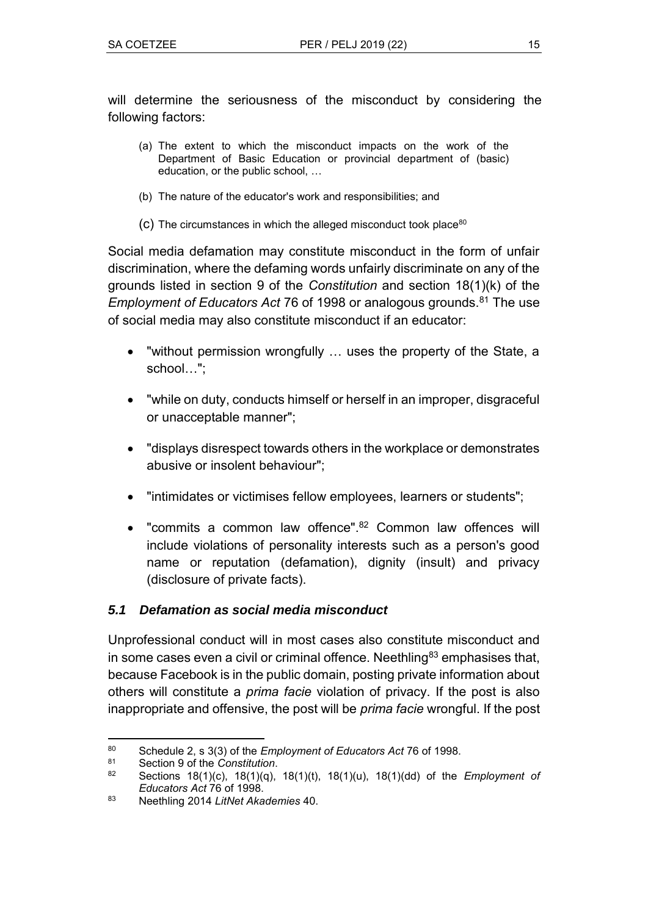will determine the seriousness of the misconduct by considering the following factors:

- (a) The extent to which the misconduct impacts on the work of the Department of Basic Education or provincial department of (basic) education, or the public school, …
- (b) The nature of the educator's work and responsibilities; and
- $(c)$  The circumstances in which the alleged misconduct took place<sup>80</sup>

Social media defamation may constitute misconduct in the form of unfair discrimination, where the defaming words unfairly discriminate on any of the grounds listed in section 9 of the *Constitution* and section 18(1)(k) of the *Employment of Educators Act* 76 of 1998 or analogous grounds.<sup>81</sup> The use of social media may also constitute misconduct if an educator:

- "without permission wrongfully ... uses the property of the State, a school...";
- "while on duty, conducts himself or herself in an improper, disgraceful or unacceptable manner";
- "displays disrespect towards others in the workplace or demonstrates abusive or insolent behaviour";
- "intimidates or victimises fellow employees, learners or students";
- "commits a common law offence".<sup>82</sup> Common law offences will include violations of personality interests such as a person's good name or reputation (defamation), dignity (insult) and privacy (disclosure of private facts).

### *5.1 Defamation as social media misconduct*

Unprofessional conduct will in most cases also constitute misconduct and in some cases even a civil or criminal offence. Neethling<sup>83</sup> emphasises that, because Facebook is in the public domain, posting private information about others will constitute a *prima facie* violation of privacy. If the post is also inappropriate and offensive, the post will be *prima facie* wrongful. If the post

 $\overline{a}$ <sup>80</sup> Schedule 2, s 3(3) of the *Employment of Educators Act* 76 of 1998.

Section 9 of the *Constitution*.

<sup>82</sup> Sections 18(1)(c), 18(1)(q), 18(1)(t), 18(1)(u), 18(1)(dd) of the *Employment of Educators Act* 76 of 1998.

<sup>83</sup> Neethling 2014 *LitNet Akademies* 40.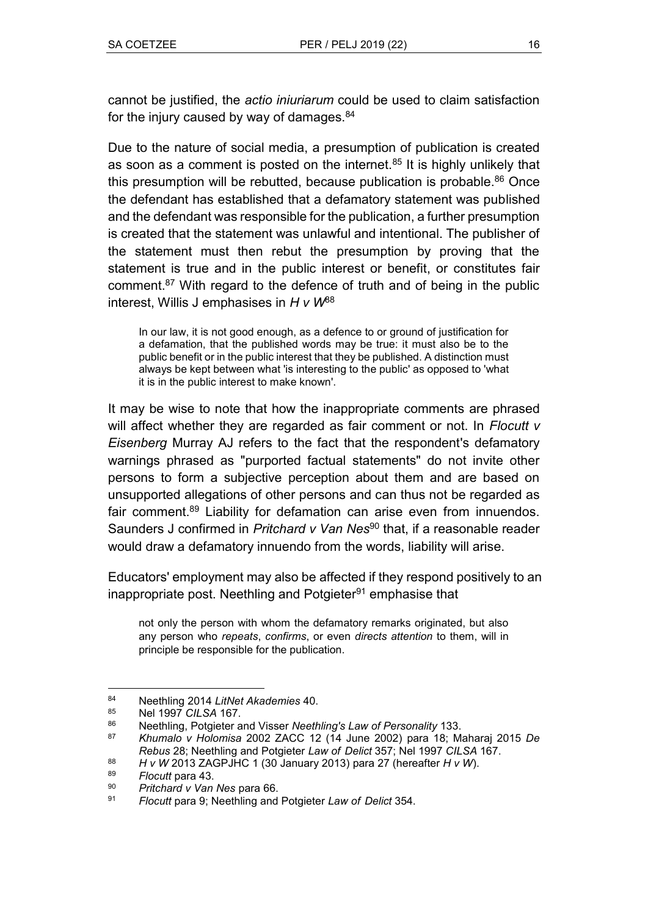cannot be justified, the *actio iniuriarum* could be used to claim satisfaction for the injury caused by way of damages. $84$ 

Due to the nature of social media, a presumption of publication is created as soon as a comment is posted on the internet. $85$  It is highly unlikely that this presumption will be rebutted, because publication is probable.<sup>86</sup> Once the defendant has established that a defamatory statement was published and the defendant was responsible for the publication, a further presumption is created that the statement was unlawful and intentional. The publisher of the statement must then rebut the presumption by proving that the statement is true and in the public interest or benefit, or constitutes fair comment.<sup>87</sup> With regard to the defence of truth and of being in the public interest, Willis J emphasises in *H v W*<sup>88</sup>

In our law, it is not good enough, as a defence to or ground of justification for a defamation, that the published words may be true: it must also be to the public benefit or in the public interest that they be published. A distinction must always be kept between what 'is interesting to the public' as opposed to 'what it is in the public interest to make known'.

It may be wise to note that how the inappropriate comments are phrased will affect whether they are regarded as fair comment or not. In *Flocutt v Eisenberg* Murray AJ refers to the fact that the respondent's defamatory warnings phrased as "purported factual statements" do not invite other persons to form a subjective perception about them and are based on unsupported allegations of other persons and can thus not be regarded as fair comment.<sup>89</sup> Liability for defamation can arise even from innuendos. Saunders J confirmed in *Pritchard v Van Nes*<sup>90</sup> that, if a reasonable reader would draw a defamatory innuendo from the words, liability will arise.

Educators' employment may also be affected if they respond positively to an inappropriate post. Neethling and Potgieter<sup>91</sup> emphasise that

not only the person with whom the defamatory remarks originated, but also any person who *repeats*, *confirms*, or even *directs attention* to them, will in principle be responsible for the publication.

 $84$ <sup>84</sup> Neethling 2014 *LitNet Akademies* 40.

<sup>85</sup> Nel 1997 *CILSA* 167.

<sup>86</sup> Neethling, Potgieter and Visser *Neethling's Law of Personality* 133.

<sup>87</sup> *Khumalo v Holomisa* 2002 ZACC 12 (14 June 2002) para 18; Maharaj 2015 *De Rebus* 28; Neethling and Potgieter *Law of Delict* 357; Nel 1997 *CILSA* 167.

<sup>88</sup> *H v W* 2013 ZAGPJHC 1 (30 January 2013) para 27 (hereafter *H v W*).

<sup>89</sup> *Flocutt* para 43.

<sup>90</sup> *Pritchard v Van Nes* para 66.

<sup>91</sup> *Flocutt* para 9; Neethling and Potgieter *Law of Delict* 354.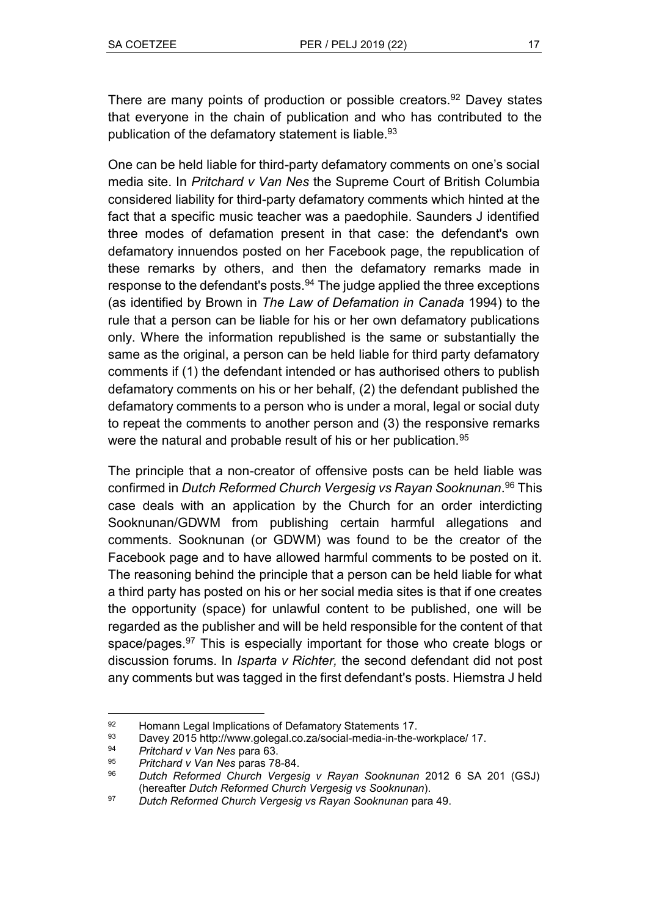There are many points of production or possible creators.<sup>92</sup> Davey states that everyone in the chain of publication and who has contributed to the publication of the defamatory statement is liable.<sup>93</sup>

One can be held liable for third-party defamatory comments on one's social media site. In *Pritchard v Van Nes* the Supreme Court of British Columbia considered liability for third-party defamatory comments which hinted at the fact that a specific music teacher was a paedophile. Saunders J identified three modes of defamation present in that case: the defendant's own defamatory innuendos posted on her Facebook page, the republication of these remarks by others, and then the defamatory remarks made in response to the defendant's posts. $94$  The judge applied the three exceptions (as identified by Brown in *The Law of Defamation in Canada* 1994) to the rule that a person can be liable for his or her own defamatory publications only. Where the information republished is the same or substantially the same as the original, a person can be held liable for third party defamatory comments if (1) the defendant intended or has authorised others to publish defamatory comments on his or her behalf, (2) the defendant published the defamatory comments to a person who is under a moral, legal or social duty to repeat the comments to another person and (3) the responsive remarks were the natural and probable result of his or her publication.<sup>95</sup>

The principle that a non-creator of offensive posts can be held liable was confirmed in *Dutch Reformed Church Vergesig vs Rayan Sooknunan*. <sup>96</sup> This case deals with an application by the Church for an order interdicting Sooknunan/GDWM from publishing certain harmful allegations and comments. Sooknunan (or GDWM) was found to be the creator of the Facebook page and to have allowed harmful comments to be posted on it. The reasoning behind the principle that a person can be held liable for what a third party has posted on his or her social media sites is that if one creates the opportunity (space) for unlawful content to be published, one will be regarded as the publisher and will be held responsible for the content of that space/pages.<sup>97</sup> This is especially important for those who create blogs or discussion forums. In *Isparta v Richter,* the second defendant did not post any comments but was tagged in the first defendant's posts. Hiemstra J held

 $\overline{a}$ 92 Homann Legal Implications of Defamatory Statements 17.

<sup>93</sup> Davey 2015 http://www.golegal.co.za/social-media-in-the-workplace/ 17.

<sup>94</sup> *Pritchard v Van Nes* para 63.

<sup>95</sup> *Pritchard v Van Nes* paras 78-84.

<sup>96</sup> *Dutch Reformed Church Vergesig v Rayan Sooknunan* 2012 6 SA 201 (GSJ) (hereafter *Dutch Reformed Church Vergesig vs Sooknunan*).

<sup>97</sup> *Dutch Reformed Church Vergesig vs Rayan Sooknunan* para 49.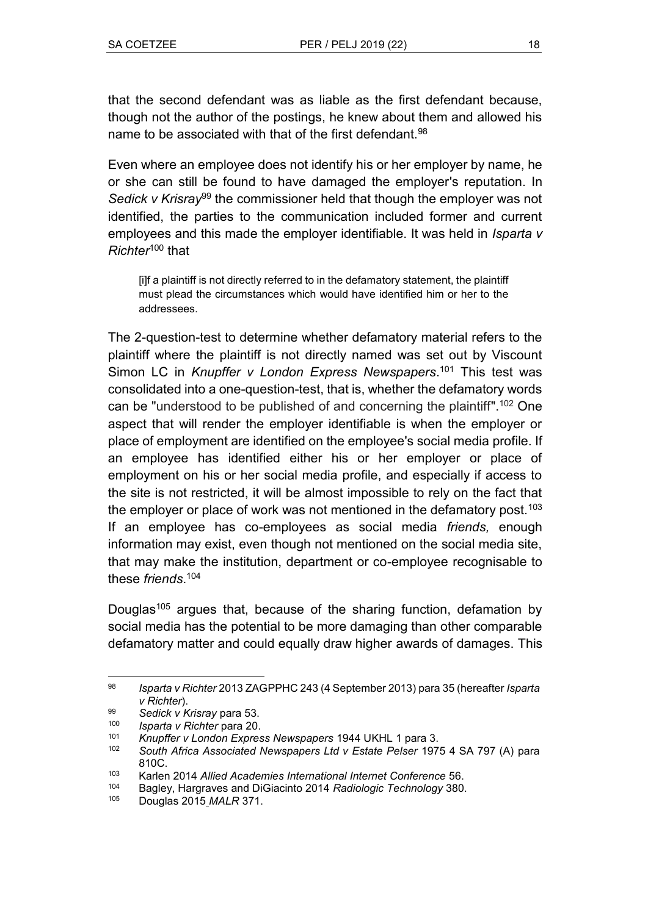that the second defendant was as liable as the first defendant because, though not the author of the postings, he knew about them and allowed his name to be associated with that of the first defendant.<sup>98</sup>

Even where an employee does not identify his or her employer by name, he or she can still be found to have damaged the employer's reputation. In *Sedick v Krisray*<sup>99</sup> the commissioner held that though the employer was not identified, the parties to the communication included former and current employees and this made the employer identifiable. It was held in *Isparta v Richter*<sup>100</sup> that

[i]f a plaintiff is not directly referred to in the defamatory statement, the plaintiff must plead the circumstances which would have identified him or her to the addressees.

The 2-question-test to determine whether defamatory material refers to the plaintiff where the plaintiff is not directly named was set out by Viscount Simon LC in *Knupffer v London Express Newspapers*. <sup>101</sup> This test was consolidated into a one-question-test, that is, whether the defamatory words can be "understood to be published of and concerning the plaintiff".<sup>102</sup> One aspect that will render the employer identifiable is when the employer or place of employment are identified on the employee's social media profile. If an employee has identified either his or her employer or place of employment on his or her social media profile, and especially if access to the site is not restricted, it will be almost impossible to rely on the fact that the employer or place of work was not mentioned in the defamatory post.<sup>103</sup> If an employee has co-employees as social media *friends,* enough information may exist, even though not mentioned on the social media site, that may make the institution, department or co-employee recognisable to these *friends*. 104

Douglas<sup>105</sup> argues that, because of the sharing function, defamation by social media has the potential to be more damaging than other comparable defamatory matter and could equally draw higher awards of damages. This

 $\overline{a}$ <sup>98</sup> *Isparta v Richter* 2013 ZAGPPHC 243 (4 September 2013) para 35 (hereafter *Isparta v Richter*).

<sup>99</sup> *Sedick v Krisray* para 53.

<sup>100</sup> *Isparta v Richter* para 20.

<sup>101</sup> *Knupffer v London Express Newspapers* 1944 UKHL 1 para 3.

<sup>102</sup> *South Africa Associated Newspapers Ltd v Estate Pelser* 1975 4 SA 797 (A) para 810C.

<sup>103</sup> Karlen 2014 *Allied Academies International Internet Conference* 56.

<sup>104</sup> Bagley, Hargraves and DiGiacinto 2014 *Radiologic Technology* 380.

<sup>105</sup> Douglas 2015 *MALR* 371.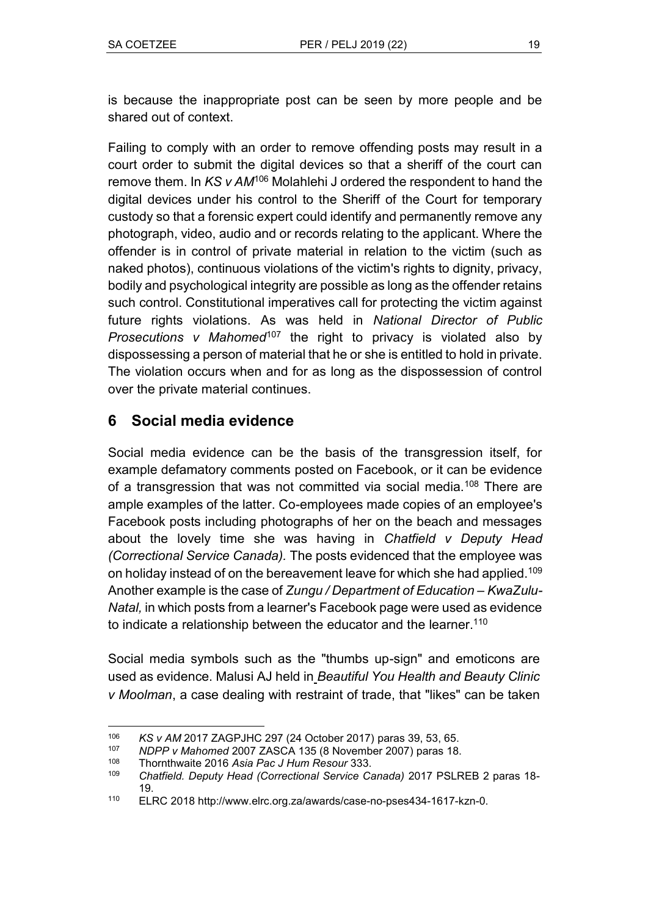is because the inappropriate post can be seen by more people and be shared out of context.

Failing to comply with an order to remove offending posts may result in a court order to submit the digital devices so that a sheriff of the court can remove them. In *KS v AM*<sup>106</sup> Molahlehi J ordered the respondent to hand the digital devices under his control to the Sheriff of the Court for temporary custody so that a forensic expert could identify and permanently remove any photograph, video, audio and or records relating to the applicant. Where the offender is in control of private material in relation to the victim (such as naked photos), continuous violations of the victim's rights to dignity, privacy, bodily and psychological integrity are possible as long as the offender retains such control. Constitutional imperatives call for protecting the victim against future rights violations. As was held in *National Director of Public Prosecutions v Mahomed*<sup>107</sup> the right to privacy is violated also by dispossessing a person of material that he or she is entitled to hold in private. The violation occurs when and for as long as the dispossession of control over the private material continues.

## **6 Social media evidence**

Social media evidence can be the basis of the transgression itself, for example defamatory comments posted on Facebook, or it can be evidence of a transgression that was not committed via social media.<sup>108</sup> There are ample examples of the latter. Co-employees made copies of an employee's Facebook posts including photographs of her on the beach and messages about the lovely time she was having in *Chatfield v Deputy Head (Correctional Service Canada).* The posts evidenced that the employee was on holiday instead of on the bereavement leave for which she had applied.<sup>109</sup> Another example is the case of *Zungu / Department of Education – KwaZulu-Natal,* in which posts from a learner's Facebook page were used as evidence to indicate a relationship between the educator and the learner.<sup>110</sup>

Social media symbols such as the "thumbs up-sign" and emoticons are used as evidence. Malusi AJ held in *Beautiful You Health and Beauty Clinic v Moolman*, a case dealing with restraint of trade, that "likes" can be taken

 $\overline{a}$ <sup>106</sup> *KS v AM* 2017 ZAGPJHC 297 (24 October 2017) paras 39, 53, 65.

<sup>107</sup> *NDPP v Mahomed* 2007 ZASCA 135 (8 November 2007) paras 18.

<sup>108</sup> Thornthwaite 2016 *Asia Pac J Hum Resour* 333.

<sup>109</sup> *Chatfield. Deputy Head (Correctional Service Canada)* 2017 PSLREB 2 paras 18- 19.

<sup>110</sup> ELRC 2018 http://www.elrc.org.za/awards/case-no-pses434-1617-kzn-0.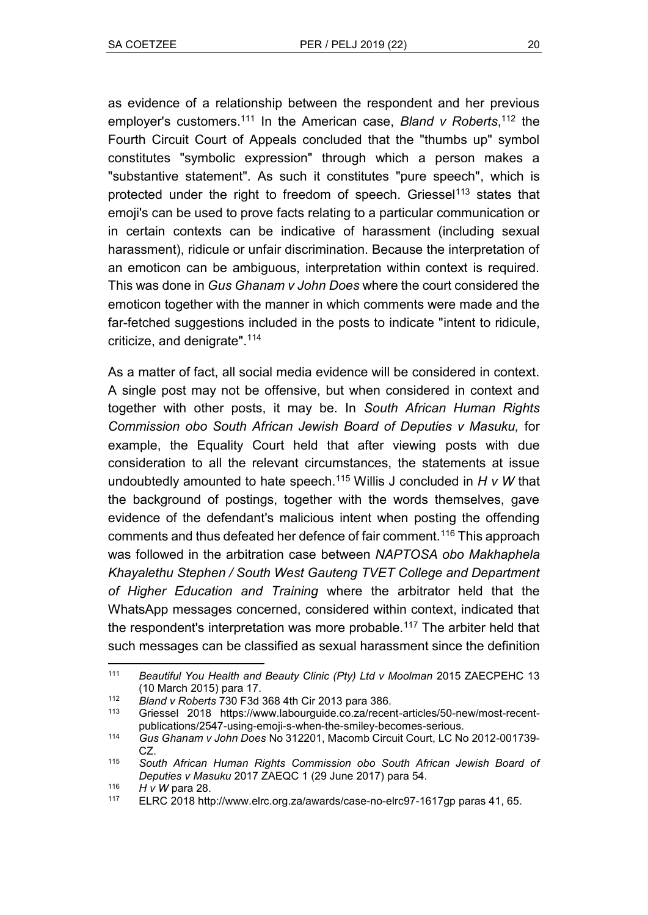as evidence of a relationship between the respondent and her previous employer's customers.<sup>111</sup> In the American case, *Bland v Roberts*, <sup>112</sup> the Fourth Circuit Court of Appeals concluded that the "thumbs up" symbol constitutes "symbolic expression" through which a person makes a "substantive statement". As such it constitutes "pure speech", which is protected under the right to freedom of speech. Griessel<sup>113</sup> states that emoji's can be used to prove facts relating to a particular communication or in certain contexts can be indicative of harassment (including sexual harassment), ridicule or unfair discrimination. Because the interpretation of an emoticon can be ambiguous, interpretation within context is required. This was done in *Gus Ghanam v John Does* where the court considered the emoticon together with the manner in which comments were made and the far-fetched suggestions included in the posts to indicate "intent to ridicule, criticize, and denigrate".<sup>114</sup>

As a matter of fact, all social media evidence will be considered in context. A single post may not be offensive, but when considered in context and together with other posts, it may be. In *South African Human Rights Commission obo South African Jewish Board of Deputies v Masuku,* for example, the Equality Court held that after viewing posts with due consideration to all the relevant circumstances, the statements at issue undoubtedly amounted to hate speech.<sup>115</sup> Willis J concluded in *H v W* that the background of postings, together with the words themselves, gave evidence of the defendant's malicious intent when posting the offending comments and thus defeated her defence of fair comment.<sup>116</sup> This approach was followed in the arbitration case between *NAPTOSA obo Makhaphela Khayalethu Stephen / South West Gauteng TVET College and Department of Higher Education and Training* where the arbitrator held that the WhatsApp messages concerned, considered within context, indicated that the respondent's interpretation was more probable.<sup>117</sup> The arbiter held that such messages can be classified as sexual harassment since the definition

 $\overline{a}$ <sup>111</sup> *Beautiful You Health and Beauty Clinic (Pty) Ltd v Moolman* 2015 ZAECPEHC 13 (10 March 2015) para 17.

<sup>112</sup> *Bland v Roberts* 730 F3d 368 4th Cir 2013 para 386.

Griessel 2018 https://www.labourguide.co.za/recent-articles/50-new/most-recentpublications/2547-using-emoji-s-when-the-smiley-becomes-serious.

<sup>114</sup> *Gus Ghanam v John Does* No 312201, Macomb Circuit Court, LC No 2012-001739- CZ.

<sup>115</sup> *South African Human Rights Commission obo South African Jewish Board of Deputies v Masuku* 2017 ZAEQC 1 (29 June 2017) para 54.

<sup>116</sup> *H v W* para 28.<br>117 **FL RC** 2018 http

ELRC 2018 http://www.elrc.org.za/awards/case-no-elrc97-1617gp paras 41, 65.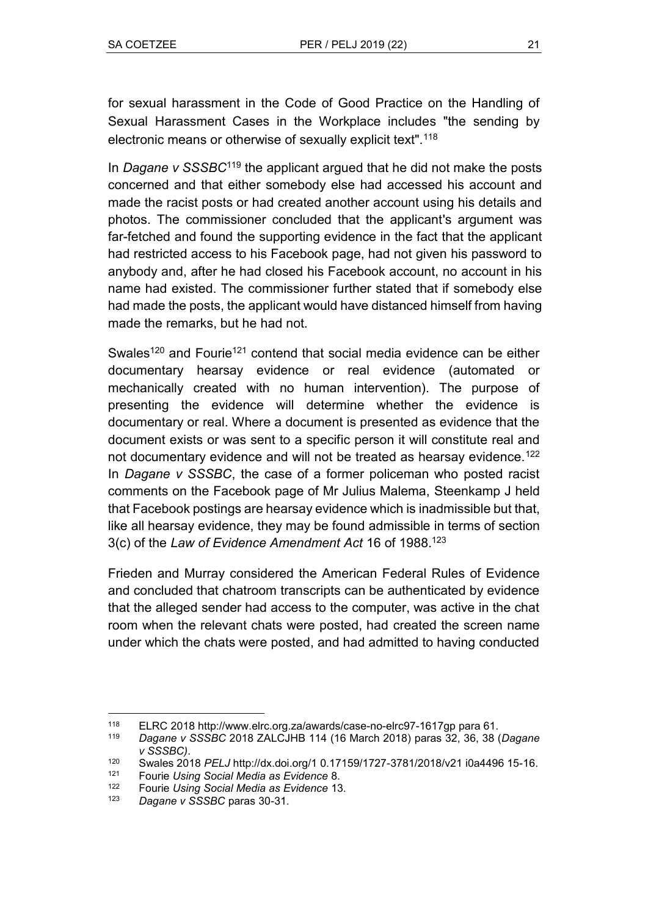for sexual harassment in the Code of Good Practice on the Handling of Sexual Harassment Cases in the Workplace includes "the sending by electronic means or otherwise of sexually explicit text".<sup>118</sup>

In *Dagane v SSSBC*<sup>119</sup> the applicant argued that he did not make the posts concerned and that either somebody else had accessed his account and made the racist posts or had created another account using his details and photos. The commissioner concluded that the applicant's argument was far-fetched and found the supporting evidence in the fact that the applicant had restricted access to his Facebook page, had not given his password to anybody and, after he had closed his Facebook account, no account in his name had existed. The commissioner further stated that if somebody else had made the posts, the applicant would have distanced himself from having made the remarks, but he had not.

Swales<sup>120</sup> and Fourie<sup>121</sup> contend that social media evidence can be either documentary hearsay evidence or real evidence (automated or mechanically created with no human intervention). The purpose of presenting the evidence will determine whether the evidence is documentary or real. Where a document is presented as evidence that the document exists or was sent to a specific person it will constitute real and not documentary evidence and will not be treated as hearsay evidence.<sup>122</sup> In *Dagane v SSSBC*, the case of a former policeman who posted racist comments on the Facebook page of Mr Julius Malema, Steenkamp J held that Facebook postings are hearsay evidence which is inadmissible but that, like all hearsay evidence, they may be found admissible in terms of section 3(c) of the *Law of Evidence Amendment Act* 16 of 1988.<sup>123</sup>

Frieden and Murray considered the American Federal Rules of Evidence and concluded that chatroom transcripts can be authenticated by evidence that the alleged sender had access to the computer, was active in the chat room when the relevant chats were posted, had created the screen name under which the chats were posted, and had admitted to having conducted

 $\overline{a}$ 

<sup>118</sup> ELRC 2018 http://www.elrc.org.za/awards/case-no-elrc97-1617gp para 61.

<sup>119</sup> *Dagane v SSSBC* 2018 ZALCJHB 114 (16 March 2018) paras 32, 36, 38 (*Dagane v SSSBC)*.

<sup>120</sup> Swales 2018 *PELJ* http://dx.doi.org/1 0.17159/1727-3781/2018/v21 i0a4496 15-16.

<sup>121</sup> Fourie *Using Social Media as Evidence* 8.

<sup>122</sup> Fourie *Using Social Media as Evidence* 13.

<sup>123</sup> *Dagane v SSSBC* paras 30-31.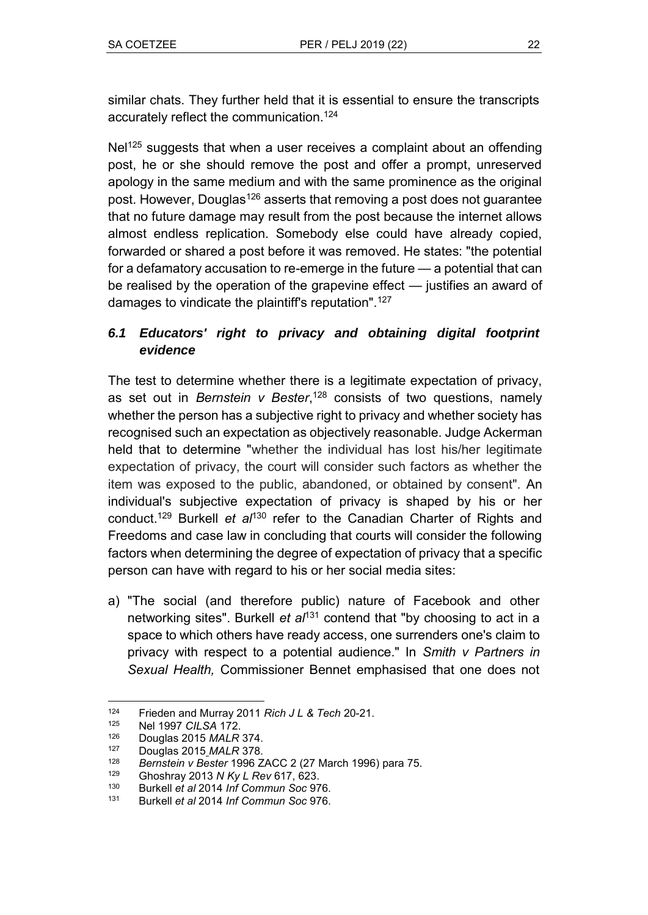similar chats. They further held that it is essential to ensure the transcripts accurately reflect the communication.<sup>124</sup>

Nel<sup>125</sup> suggests that when a user receives a complaint about an offending post, he or she should remove the post and offer a prompt, unreserved apology in the same medium and with the same prominence as the original post. However, Douglas<sup>126</sup> asserts that removing a post does not guarantee that no future damage may result from the post because the internet allows almost endless replication. Somebody else could have already copied, forwarded or shared a post before it was removed. He states: "the potential for a defamatory accusation to re-emerge in the future — a potential that can be realised by the operation of the grapevine effect — justifies an award of damages to vindicate the plaintiff's reputation".<sup>127</sup>

## *6.1 Educators' right to privacy and obtaining digital footprint evidence*

The test to determine whether there is a legitimate expectation of privacy, as set out in *Bernstein v Bester*, <sup>128</sup> consists of two questions, namely whether the person has a subjective right to privacy and whether society has recognised such an expectation as objectively reasonable. Judge Ackerman held that to determine "whether the individual has lost his/her legitimate expectation of privacy, the court will consider such factors as whether the item was exposed to the public, abandoned, or obtained by consent". An individual's subjective expectation of privacy is shaped by his or her conduct.<sup>129</sup> Burkell *et al*<sup>130</sup> refer to the Canadian Charter of Rights and Freedoms and case law in concluding that courts will consider the following factors when determining the degree of expectation of privacy that a specific person can have with regard to his or her social media sites:

a) "The social (and therefore public) nature of Facebook and other networking sites". Burkell *et al*<sup>131</sup> contend that "by choosing to act in a space to which others have ready access, one surrenders one's claim to privacy with respect to a potential audience.ʺ In *Smith v Partners in Sexual Health,* Commissioner Bennet emphasised that one does not

 $\overline{a}$ <sup>124</sup> Frieden and Murray 2011 *Rich J L & Tech* 20-21.

<sup>125</sup> Nel 1997 *CILSA* 172.

<sup>126</sup> Douglas 2015 *MALR* 374.

<sup>127</sup> Douglas 2015 *MALR* 378.

<sup>128</sup> *Bernstein v Bester* 1996 ZACC 2 (27 March 1996) para 75.

<sup>129</sup> Ghoshray 2013 *N Ky L Rev* 617, 623.

<sup>130</sup> Burkell *et al* 2014 *Inf Commun Soc* 976.

<sup>131</sup> Burkell *et al* 2014 *Inf Commun Soc* 976.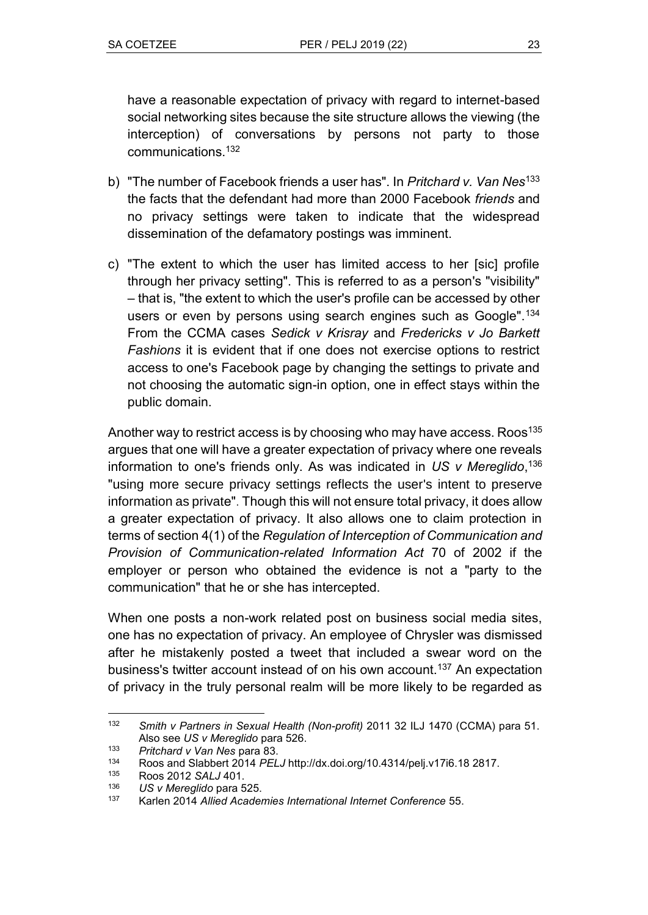have a reasonable expectation of privacy with regard to internet-based social networking sites because the site structure allows the viewing (the interception) of conversations by persons not party to those communications.<sup>132</sup>

- b) "The number of Facebook friends a user has". In *Pritchard v. Van Nes*<sup>133</sup> the facts that the defendant had more than 2000 Facebook *friends* and no privacy settings were taken to indicate that the widespread dissemination of the defamatory postings was imminent.
- c) "The extent to which the user has limited access to her [sic] profile through her privacy setting". This is referred to as a person's "visibility" – that is, "the extent to which the user's profile can be accessed by other users or even by persons using search engines such as Google".<sup>134</sup> From the CCMA cases *Sedick v Krisray* and *Fredericks v Jo Barkett Fashions* it is evident that if one does not exercise options to restrict access to one's Facebook page by changing the settings to private and not choosing the automatic sign-in option, one in effect stays within the public domain.

Another way to restrict access is by choosing who may have access. Roos<sup>135</sup> argues that one will have a greater expectation of privacy where one reveals information to one's friends only. As was indicated in *US v Mereglido*, 136 "using more secure privacy settings reflects the user's intent to preserve information as private". Though this will not ensure total privacy, it does allow a greater expectation of privacy. It also allows one to claim protection in terms of section 4(1) of the *Regulation of Interception of Communication and Provision of Communication-related Information Act* 70 of 2002 if the employer or person who obtained the evidence is not a "party to the communication" that he or she has intercepted.

When one posts a non-work related post on business social media sites, one has no expectation of privacy. An employee of Chrysler was dismissed after he mistakenly posted a tweet that included a swear word on the business's twitter account instead of on his own account.<sup>137</sup> An expectation of privacy in the truly personal realm will be more likely to be regarded as

 $\overline{a}$ <sup>132</sup> *Smith v Partners in Sexual Health (Non-profit)* 2011 32 ILJ 1470 (CCMA) para 51. Also see *US v Mereglido* para 526.

<sup>133</sup> *Pritchard v Van Nes* para 83.

<sup>134</sup> Roos and Slabbert 2014 *PELJ* http://dx.doi.org/10.4314/pelj.v17i6.18 2817.

<sup>135</sup> Roos 2012 *SALJ* 401.

<sup>136</sup> *US v Mereglido* para 525.

<sup>137</sup> Karlen 2014 *Allied Academies International Internet Conference* 55.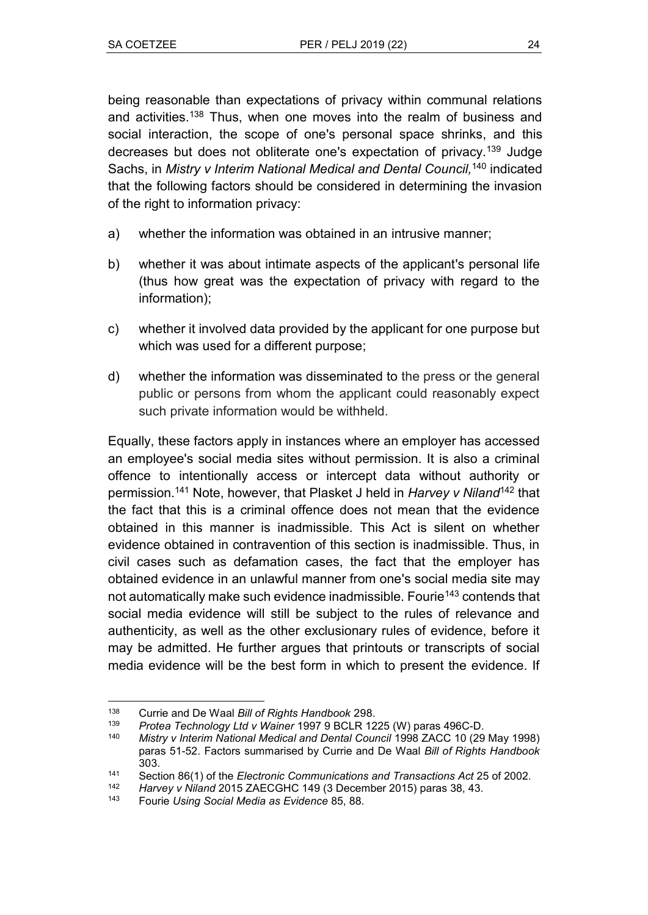being reasonable than expectations of privacy within communal relations and activities.<sup>138</sup> Thus, when one moves into the realm of business and social interaction, the scope of one's personal space shrinks, and this decreases but does not obliterate one's expectation of privacy.<sup>139</sup> Judge Sachs, in *Mistry v Interim National Medical and Dental Council,*<sup>140</sup> indicated that the following factors should be considered in determining the invasion of the right to information privacy:

- a) whether the information was obtained in an intrusive manner;
- b) whether it was about intimate aspects of the applicant's personal life (thus how great was the expectation of privacy with regard to the information);
- c) whether it involved data provided by the applicant for one purpose but which was used for a different purpose;
- d) whether the information was disseminated to the press or the general public or persons from whom the applicant could reasonably expect such private information would be withheld.

Equally, these factors apply in instances where an employer has accessed an employee's social media sites without permission. It is also a criminal offence to intentionally access or intercept data without authority or permission.<sup>141</sup> Note, however, that Plasket J held in *Harvey v Niland*<sup>142</sup> that the fact that this is a criminal offence does not mean that the evidence obtained in this manner is inadmissible. This Act is silent on whether evidence obtained in contravention of this section is inadmissible. Thus, in civil cases such as defamation cases, the fact that the employer has obtained evidence in an unlawful manner from one's social media site may not automatically make such evidence inadmissible. Fourie<sup>143</sup> contends that social media evidence will still be subject to the rules of relevance and authenticity, as well as the other exclusionary rules of evidence, before it may be admitted. He further argues that printouts or transcripts of social media evidence will be the best form in which to present the evidence. If

<sup>138</sup> <sup>138</sup> Currie and De Waal *Bill of Rights Handbook* 298.

<sup>139</sup> *Protea Technology Ltd v Wainer* 1997 9 BCLR 1225 (W) paras 496C-D.

<sup>140</sup> *Mistry v Interim National Medical and Dental Council* 1998 ZACC 10 (29 May 1998) paras 51-52. Factors summarised by Currie and De Waal *Bill of Rights Handbook*  303.

<sup>141</sup> Section 86(1) of the *Electronic Communications and Transactions Act* 25 of 2002.

<sup>142</sup> *Harvey v Niland* 2015 ZAECGHC 149 (3 December 2015) paras 38, 43.

<sup>143</sup> Fourie *Using Social Media as Evidence* 85, 88.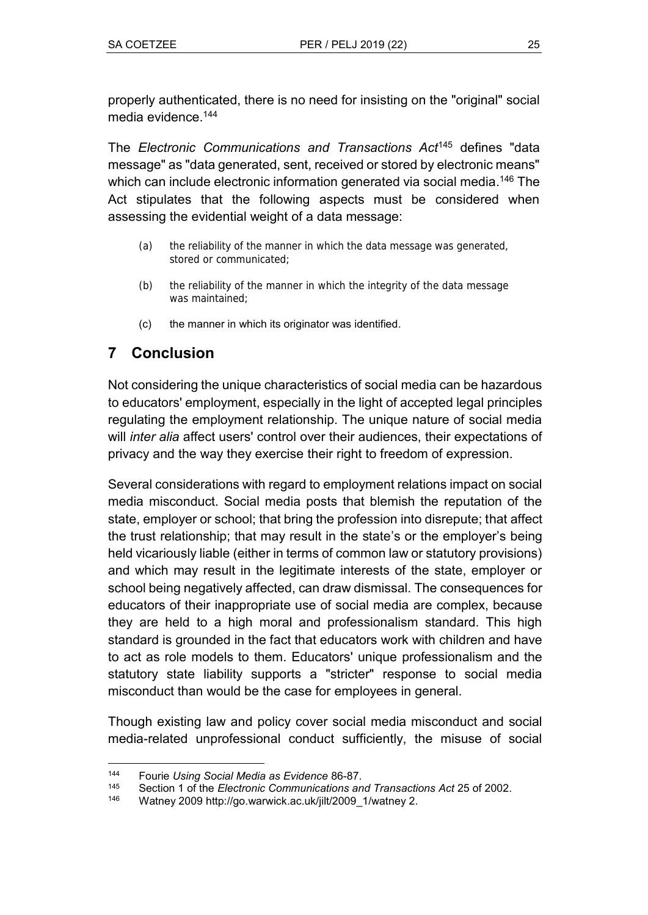properly authenticated, there is no need for insisting on the "original" social media evidence.<sup>144</sup>

The *Electronic Communications and Transactions Act*<sup>145</sup> defines ʺdata message" as "data generated, sent, received or stored by electronic means" which can include electronic information generated via social media. <sup>146</sup> The Act stipulates that the following aspects must be considered when assessing the evidential weight of a data message:

- (a) the reliability of the manner in which the data message was generated, stored or communicated;
- (b) the reliability of the manner in which the integrity of the data message was maintained;
- (c) the manner in which its originator was identified.

# **7 Conclusion**

Not considering the unique characteristics of social media can be hazardous to educators' employment, especially in the light of accepted legal principles regulating the employment relationship. The unique nature of social media will *inter alia* affect users' control over their audiences, their expectations of privacy and the way they exercise their right to freedom of expression.

Several considerations with regard to employment relations impact on social media misconduct. Social media posts that blemish the reputation of the state, employer or school; that bring the profession into disrepute; that affect the trust relationship; that may result in the state's or the employer's being held vicariously liable (either in terms of common law or statutory provisions) and which may result in the legitimate interests of the state, employer or school being negatively affected, can draw dismissal. The consequences for educators of their inappropriate use of social media are complex, because they are held to a high moral and professionalism standard. This high standard is grounded in the fact that educators work with children and have to act as role models to them. Educators' unique professionalism and the statutory state liability supports a "stricter" response to social media misconduct than would be the case for employees in general.

Though existing law and policy cover social media misconduct and social media-related unprofessional conduct sufficiently, the misuse of social

 $\overline{a}$ <sup>144</sup> Fourie *Using Social Media as Evidence* 86-87.

<sup>145</sup> Section 1 of the *Electronic Communications and Transactions Act* 25 of 2002.

Watney 2009 http://go.warwick.ac.uk/jilt/2009\_1/watney 2.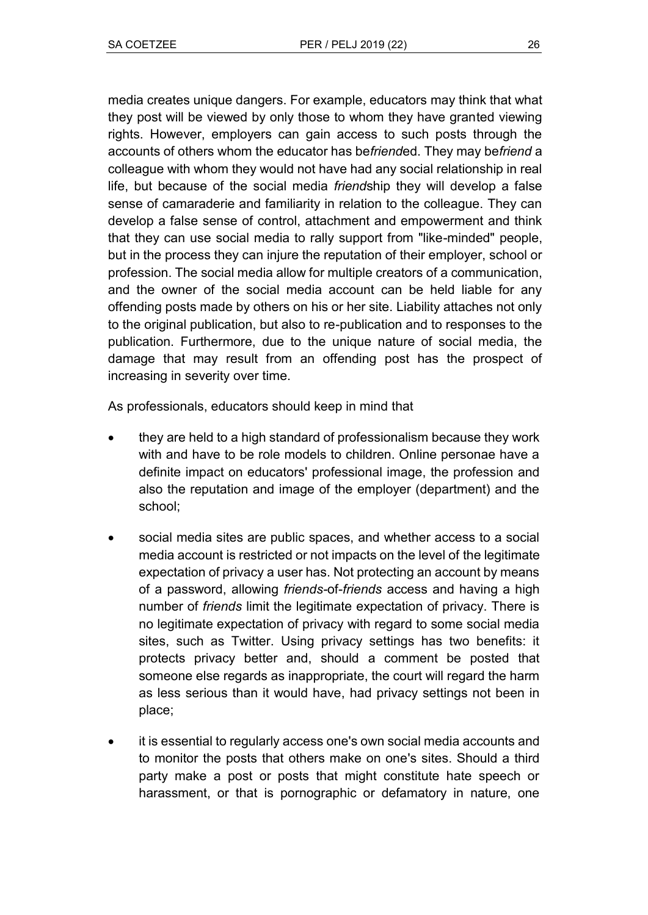media creates unique dangers. For example, educators may think that what they post will be viewed by only those to whom they have granted viewing rights. However, employers can gain access to such posts through the accounts of others whom the educator has be*friend*ed. They may be*friend* a colleague with whom they would not have had any social relationship in real life, but because of the social media *friend*ship they will develop a false sense of camaraderie and familiarity in relation to the colleague. They can develop a false sense of control, attachment and empowerment and think that they can use social media to rally support from "like-minded" people, but in the process they can injure the reputation of their employer, school or profession. The social media allow for multiple creators of a communication, and the owner of the social media account can be held liable for any offending posts made by others on his or her site. Liability attaches not only to the original publication, but also to re-publication and to responses to the publication. Furthermore, due to the unique nature of social media, the damage that may result from an offending post has the prospect of increasing in severity over time.

As professionals, educators should keep in mind that

- they are held to a high standard of professionalism because they work with and have to be role models to children. Online personae have a definite impact on educators' professional image, the profession and also the reputation and image of the employer (department) and the school;
- social media sites are public spaces, and whether access to a social media account is restricted or not impacts on the level of the legitimate expectation of privacy a user has. Not protecting an account by means of a password, allowing *friends-*of-*friends* access and having a high number of *friends* limit the legitimate expectation of privacy. There is no legitimate expectation of privacy with regard to some social media sites, such as Twitter. Using privacy settings has two benefits: it protects privacy better and, should a comment be posted that someone else regards as inappropriate, the court will regard the harm as less serious than it would have, had privacy settings not been in place;
- it is essential to regularly access one's own social media accounts and to monitor the posts that others make on one's sites. Should a third party make a post or posts that might constitute hate speech or harassment, or that is pornographic or defamatory in nature, one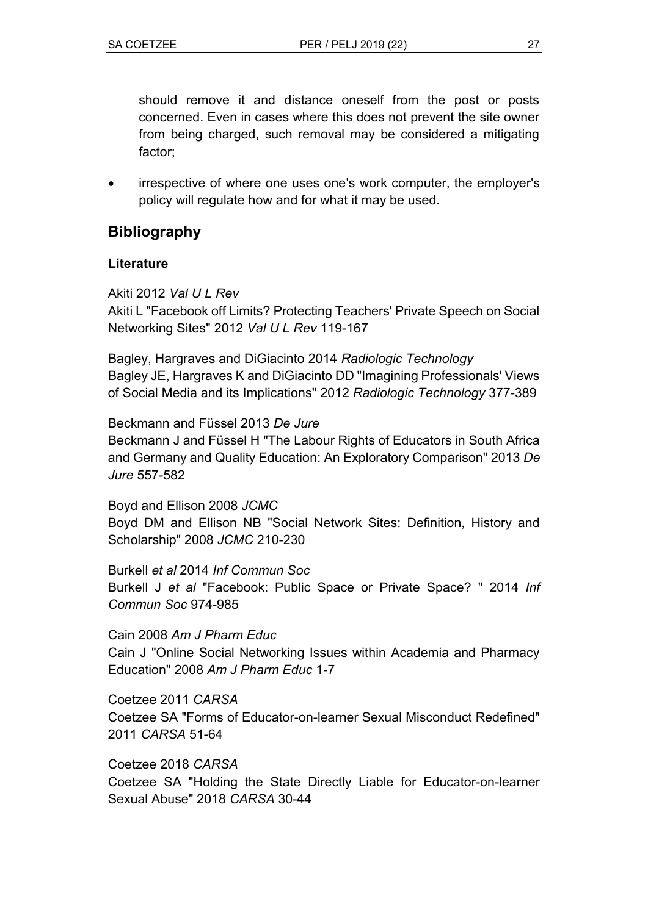should remove it and distance oneself from the post or posts concerned. Even in cases where this does not prevent the site owner from being charged, such removal may be considered a mitigating factor;

• irrespective of where one uses one's work computer, the employer's policy will regulate how and for what it may be used.

## **Bibliography**

### **Literature**

Akiti 2012 *Val U L Rev*

Akiti L "Facebook off Limits? Protecting Teachers' Private Speech on Social Networking Sitesʺ 2012 *Val U L Rev* 119-167

Bagley, Hargraves and DiGiacinto 2014 *Radiologic Technology* Bagley JE, Hargraves K and DiGiacinto DD "Imagining Professionals' Views of Social Media and its Implicationsʺ 2012 *Radiologic Technology* 377-389

Beckmann and Füssel 2013 *De Jure* Beckmann J and Füssel H "The Labour Rights of Educators in South Africa and Germany and Quality Education: An Exploratory Comparison" 2013 De *Jure* 557-582

Boyd and Ellison 2008 *JCMC* Boyd DM and Ellison NB "Social Network Sites: Definition, History and Scholarshipʺ 2008 *JCMC* 210-230

Burkell *et al* 2014 *Inf Commun Soc* Burkell J et al "Facebook: Public Space or Private Space? " 2014 Inf *Commun Soc* 974-985

Cain 2008 *Am J Pharm Educ* Cain J "Online Social Networking Issues within Academia and Pharmacy Educationʺ 2008 *Am J Pharm Educ* 1-7

Coetzee 2011 *CARSA* Coetzee SA "Forms of Educator-on-learner Sexual Misconduct Redefined" 2011 *CARSA* 51-64

Coetzee 2018 *CARSA* Coetzee SA "Holding the State Directly Liable for Educator-on-learner Sexual Abuseʺ 2018 *CARSA* 30-44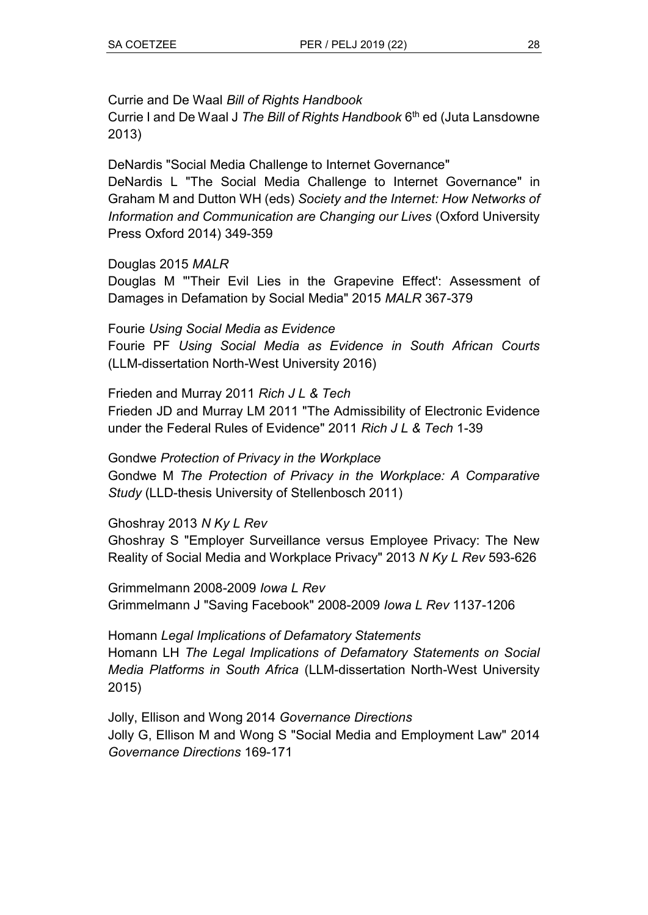### Currie and De Waal *Bill of Rights Handbook*

Currie I and De Waal J *The Bill of Rights Handbook* 6 th ed (Juta Lansdowne 2013)

DeNardis "Social Media Challenge to Internet Governance" DeNardis L "The Social Media Challenge to Internet Governance" in Graham M and Dutton WH (eds) *Society and the Internet: How Networks of Information and Communication are Changing our Lives* (Oxford University Press Oxford 2014) 349-359

### Douglas 2015 *MALR*

Douglas M "Their Evil Lies in the Grapevine Effect': Assessment of Damages in Defamation by Social Mediaʺ 2015 *MALR* 367-379

Fourie *Using Social Media as Evidence* Fourie PF *Using Social Media as Evidence in South African Courts* (LLM-dissertation North-West University 2016)

Frieden and Murray 2011 *Rich J L & Tech* Frieden JD and Murray LM 2011 "The Admissibility of Electronic Evidence under the Federal Rules of Evidenceʺ 2011 *Rich J L & Tech* 1-39

Gondwe *Protection of Privacy in the Workplace* Gondwe M *The Protection of Privacy in the Workplace: A Comparative Study* (LLD-thesis University of Stellenbosch 2011)

### Ghoshray 2013 *N Ky L Rev*

Ghoshray S "Employer Surveillance versus Employee Privacy: The New Reality of Social Media and Workplace Privacyʺ 2013 *N Ky L Rev* 593-626

Grimmelmann 2008-2009 *Iowa L Rev* Grimmelmann J ʺSaving Facebookʺ 2008-2009 *Iowa L Rev* 1137-1206

Homann *Legal Implications of Defamatory Statements* Homann LH *The Legal Implications of Defamatory Statements on Social Media Platforms in South Africa* (LLM-dissertation North-West University 2015)

Jolly, Ellison and Wong 2014 *Governance Directions* Jolly G, Ellison M and Wong S "Social Media and Employment Law" 2014 *Governance Directions* 169-171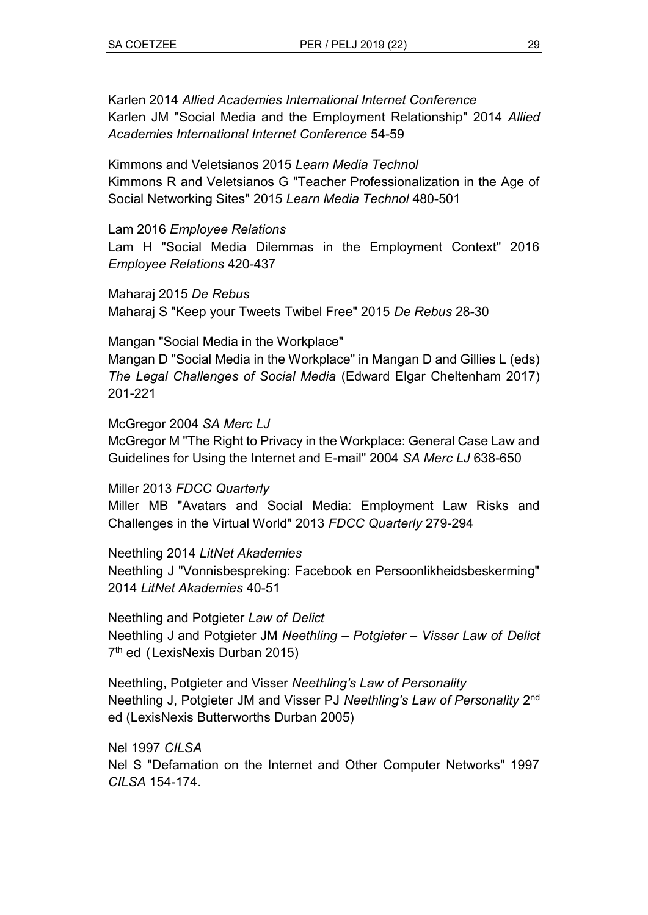Karlen 2014 *Allied Academies International Internet Conference* Karlen JM "Social Media and the Employment Relationship" 2014 Allied *Academies International Internet Conference* 54-59

Kimmons and Veletsianos 2015 *Learn Media Technol* Kimmons R and Veletsianos G "Teacher Professionalization in the Age of Social Networking Sitesʺ 2015 *Learn Media Technol* 480-501

Lam 2016 *Employee Relations*

Lam H "Social Media Dilemmas in the Employment Context" 2016 *Employee Relations* 420-437

Maharaj 2015 *De Rebus* Maharaj S ʺKeep your Tweets Twibel Freeʺ 2015 *De Rebus* 28-30

Mangan "Social Media in the Workplace"

Mangan D "Social Media in the Workplace" in Mangan D and Gillies L (eds) *The Legal Challenges of Social Media* (Edward Elgar Cheltenham 2017) 201-221

McGregor 2004 *SA Merc LJ*

McGregor M "The Right to Privacy in the Workplace: General Case Law and Guidelines for Using the Internet and E-mail" 2004 *SA Merc LJ* 638-650

Miller 2013 *FDCC Quarterly*

Miller MB "Avatars and Social Media: Employment Law Risks and Challenges in the Virtual Worldʺ 2013 *FDCC Quarterly* 279-294

Neethling 2014 *LitNet Akademies* Neethling J "Vonnisbespreking: Facebook en Persoonlikheidsbeskerming" 2014 *LitNet Akademies* 40-51

Neethling and Potgieter *Law of Delict* Neethling J and Potgieter JM *Neethling – Potgieter – Visser Law of Delict* 7<sup>th</sup> ed (LexisNexis Durban 2015)

Neethling, Potgieter and Visser *Neethling's Law of Personality* Neethling J, Potgieter JM and Visser PJ *Neethling's Law of Personality* 2 nd ed (LexisNexis Butterworths Durban 2005)

Nel 1997 *CILSA* Nel S "Defamation on the Internet and Other Computer Networks" 1997 *CILSA* 154-174.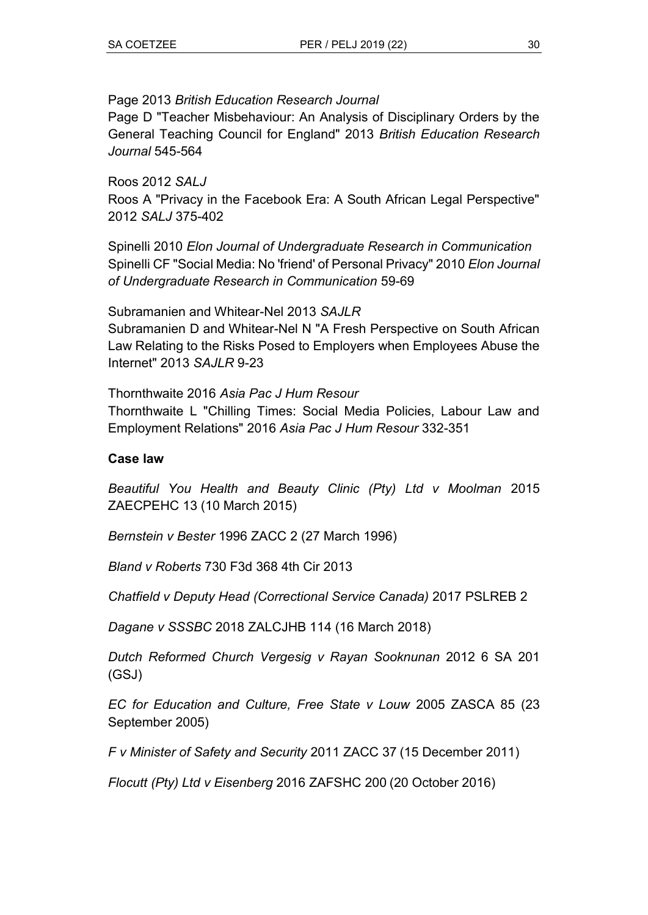### Page 2013 *British Education Research Journal*

Page D "Teacher Misbehaviour: An Analysis of Disciplinary Orders by the General Teaching Council for Englandʺ 2013 *British Education Research Journal* 545-564

Roos 2012 *SALJ* Roos A "Privacy in the Facebook Era: A South African Legal Perspective" 2012 *SALJ* 375-402

Spinelli 2010 *Elon Journal of Undergraduate Research in Communication* Spinelli CF "Social Media: No 'friend' of Personal Privacy" 2010 *Elon Journal of Undergraduate Research in Communication* 59-69

### Subramanien and Whitear-Nel 2013 *SAJLR*

Subramanien D and Whitear-Nel N "A Fresh Perspective on South African Law Relating to the Risks Posed to Employers when Employees Abuse the Internetʺ 2013 *SAJLR* 9-23

Thornthwaite 2016 *Asia Pac J Hum Resour*

Thornthwaite L "Chilling Times: Social Media Policies, Labour Law and Employment Relationsʺ 2016 *Asia Pac J Hum Resour* 332-351

### **Case law**

*Beautiful You Health and Beauty Clinic (Pty) Ltd v Moolman* 2015 ZAECPEHC 13 (10 March 2015)

*Bernstein v Bester* 1996 ZACC 2 (27 March 1996)

*Bland v Roberts* 730 F3d 368 4th Cir 2013

*Chatfield v Deputy Head (Correctional Service Canada)* 2017 PSLREB 2

*Dagane v SSSBC* 2018 ZALCJHB 114 (16 March 2018)

*Dutch Reformed Church Vergesig v Rayan Sooknunan* 2012 6 SA 201 (GSJ)

*EC for Education and Culture, Free State v Louw* 2005 ZASCA 85 (23 September 2005)

*F v Minister of Safety and Security* 2011 ZACC 37 (15 December 2011)

*Flocutt (Pty) Ltd v Eisenberg* 2016 ZAFSHC 200 (20 October 2016)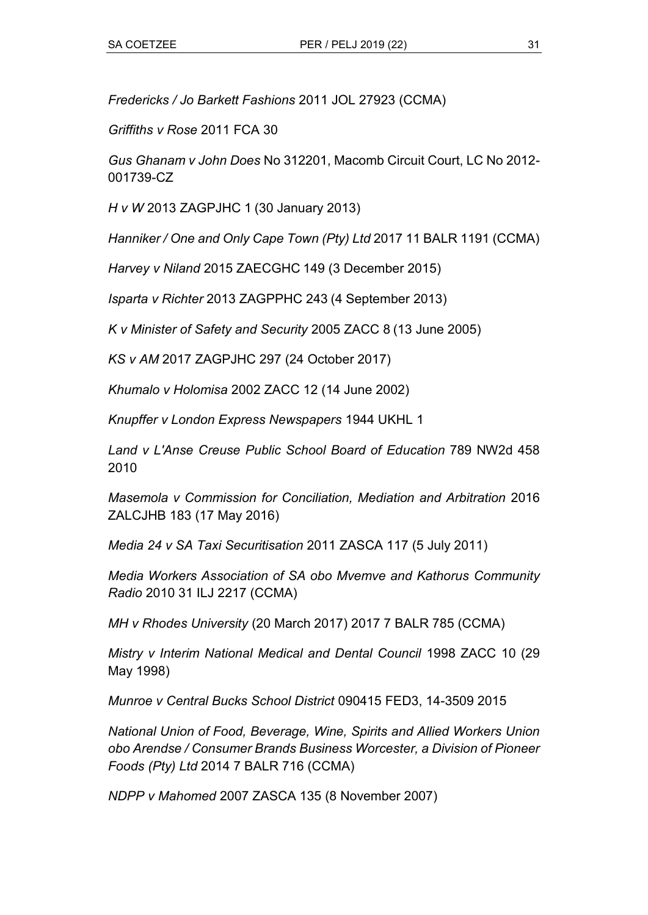*Fredericks / Jo Barkett Fashions* 2011 JOL 27923 (CCMA)

*Griffiths v Rose* 2011 FCA 30

*Gus Ghanam v John Does* No 312201, Macomb Circuit Court, LC No 2012- 001739-CZ

*H v W* 2013 ZAGPJHC 1 (30 January 2013)

*Hanniker / One and Only Cape Town (Pty) Ltd* 2017 11 BALR 1191 (CCMA)

*Harvey v Niland* 2015 ZAECGHC 149 (3 December 2015)

*Isparta v Richter* 2013 ZAGPPHC 243 (4 September 2013)

*K v Minister of Safety and Security* 2005 ZACC 8 (13 June 2005)

*KS v AM* 2017 ZAGPJHC 297 (24 October 2017)

*Khumalo v Holomisa* 2002 ZACC 12 (14 June 2002)

*Knupffer v London Express Newspapers* 1944 UKHL 1

*Land v L'Anse Creuse Public School Board of Education* 789 NW2d 458 2010

*Masemola v Commission for Conciliation, Mediation and Arbitration* 2016 ZALCJHB 183 (17 May 2016)

*Media 24 v SA Taxi Securitisation* 2011 ZASCA 117 (5 July 2011)

*Media Workers Association of SA obo Mvemve and Kathorus Community Radio* 2010 31 ILJ 2217 (CCMA)

*MH v Rhodes University* (20 March 2017) 2017 7 BALR 785 (CCMA)

*Mistry v Interim National Medical and Dental Council* 1998 ZACC 10 (29 May 1998)

*Munroe v Central Bucks School District* 090415 FED3, 14-3509 2015

*National Union of Food, Beverage, Wine, Spirits and Allied Workers Union obo Arendse / Consumer Brands Business Worcester, a Division of Pioneer Foods (Pty) Ltd* 2014 7 BALR 716 (CCMA)

*NDPP v Mahomed* 2007 ZASCA 135 (8 November 2007)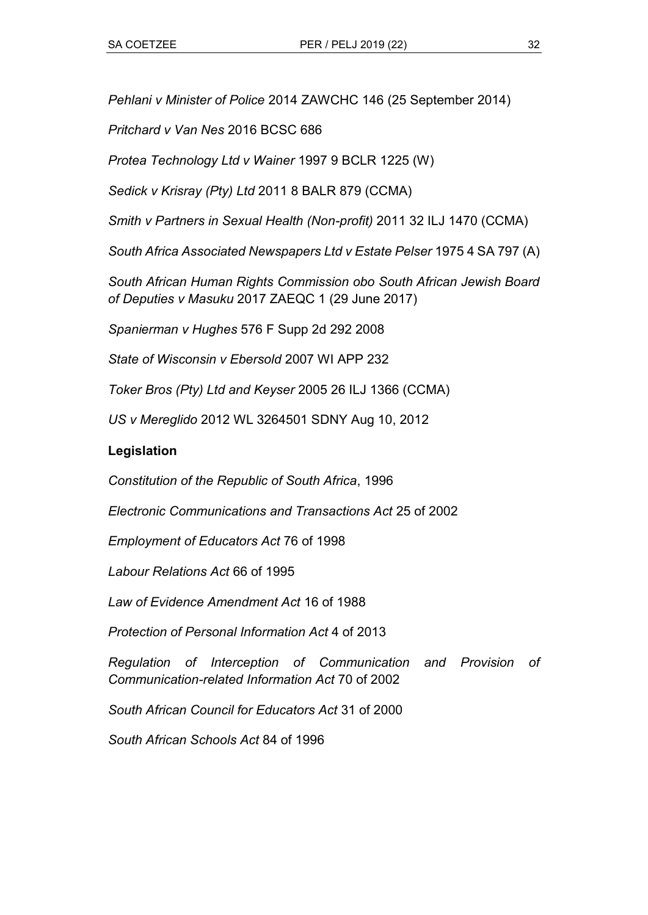*Pehlani v Minister of Police* 2014 ZAWCHC 146 (25 September 2014)

*Pritchard v Van Nes* 2016 BCSC 686

*Protea Technology Ltd v Wainer* 1997 9 BCLR 1225 (W)

*Sedick v Krisray (Pty) Ltd* 2011 8 BALR 879 (CCMA)

*Smith v Partners in Sexual Health (Non-profit)* 2011 32 ILJ 1470 (CCMA)

*South Africa Associated Newspapers Ltd v Estate Pelser* 1975 4 SA 797 (A)

*South African Human Rights Commission obo South African Jewish Board of Deputies v Masuku* 2017 ZAEQC 1 (29 June 2017)

*Spanierman v Hughes* 576 F Supp 2d 292 2008

*State of Wisconsin v Ebersold* 2007 WI APP 232

*Toker Bros (Pty) Ltd and Keyser* 2005 26 ILJ 1366 (CCMA)

*US v Mereglido* 2012 WL 3264501 SDNY Aug 10, 2012

### **Legislation**

*Constitution of the Republic of South Africa*, 1996

*Electronic Communications and Transactions Act* 25 of 2002

*Employment of Educators Act* 76 of 1998

*Labour Relations Act* 66 of 1995

*Law of Evidence Amendment Act* 16 of 1988

*Protection of Personal Information Act* 4 of 2013

*Regulation of Interception of Communication and Provision of Communication-related Information Act* 70 of 2002

*South African Council for Educators Act* 31 of 2000

*South African Schools Act* 84 of 1996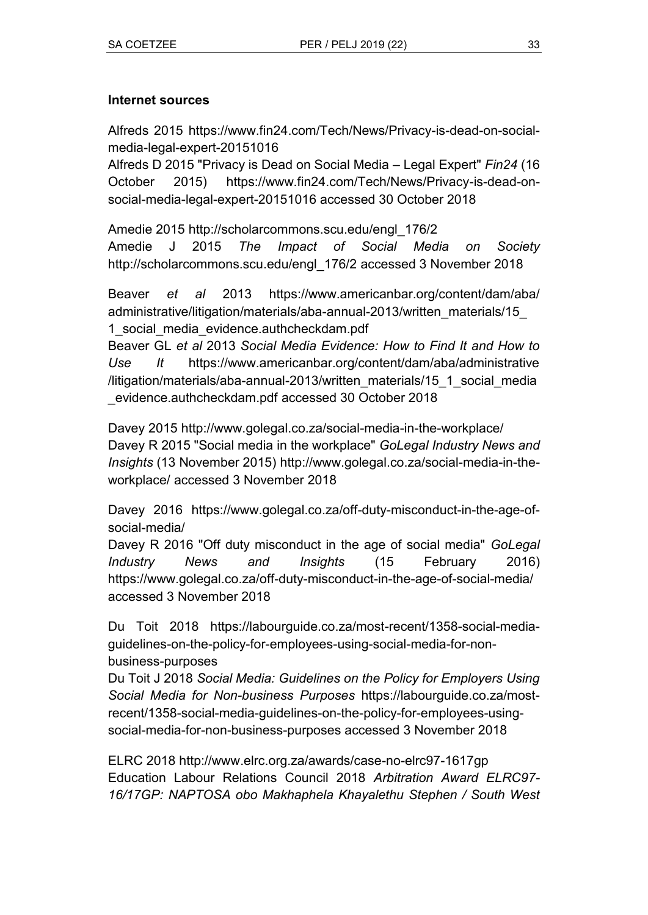### **Internet sources**

Alfreds 2015 [https://www.fin24.com/Tech/News/Privacy-is-dead-on-social](https://www.fin24.com/Tech/News/Privacy-is-dead-on-social-media-legal-expert-20151016)[media-legal-expert-20151016](https://www.fin24.com/Tech/News/Privacy-is-dead-on-social-media-legal-expert-20151016)

Alfreds D 2015 "Privacy is Dead on Social Media – Legal Expert" *Fin24* (16 October 2015) [https://www.fin24.com/Tech/News/Privacy-is-dead-on](https://www.fin24.com/Tech/News/Privacy-is-dead-on-social-media-legal-expert-20151016)[social-media-legal-expert-20151016](https://www.fin24.com/Tech/News/Privacy-is-dead-on-social-media-legal-expert-20151016) accessed 30 October 2018

Amedie 2015 [http://scholarcommons.scu.edu/engl\\_176/2](http://scholarcommons.scu.edu/engl_176/2) Amedie J 2015 *The Impact of Social Media on Society* [http://scholarcommons.scu.edu/engl\\_176/2](http://scholarcommons.scu.edu/engl_176/2) accessed 3 November 2018

Beaver *et al* 2013 https://www.americanbar.org/content/dam/aba/ administrative/litigation/materials/aba-annual-2013/written\_materials/15\_ 1\_social\_media\_evidence.authcheckdam.pdf

Beaver GL *et al* 2013 *Social Media Evidence: How to Find It and How to Use It* https://www.americanbar.org/content/dam/aba/administrative /litigation/materials/aba-annual-2013/written\_materials/15\_1\_social\_media \_evidence.authcheckdam.pdf accessed 30 October 2018

Davey 2015<http://www.golegal.co.za/social-media-in-the-workplace/> Davey R 2015 "Social media in the workplace" GoLegal Industry News and *Insights* (13 November 2015) [http://www.golegal.co.za/social-media-in-the](http://www.golegal.co.za/social-media-in-the-workplace/)[workplace/](http://www.golegal.co.za/social-media-in-the-workplace/) accessed 3 November 2018

Davey 2016 [https://www.golegal.co.za/off-duty-misconduct-in-the-age-of](https://www.golegal.co.za/off-duty-misconduct-in-the-age-of-social-media/)[social-media/](https://www.golegal.co.za/off-duty-misconduct-in-the-age-of-social-media/)

Davey R 2016 "Off duty misconduct in the age of social media" GoLegal *Industry News and Insights* (15 February 2016) <https://www.golegal.co.za/off-duty-misconduct-in-the-age-of-social-media/> accessed 3 November 2018

Du Toit 2018 [https://labourguide.co.za/most-recent/1358-social-media](https://labourguide.co.za/most-recent/1358-social-media-guidelines-on-the-policy-for-employees-using-social-media-for-non-business-purposes)[guidelines-on-the-policy-for-employees-using-social-media-for-non](https://labourguide.co.za/most-recent/1358-social-media-guidelines-on-the-policy-for-employees-using-social-media-for-non-business-purposes)[business-purposes](https://labourguide.co.za/most-recent/1358-social-media-guidelines-on-the-policy-for-employees-using-social-media-for-non-business-purposes)

Du Toit J 2018 *Social Media: Guidelines on the Policy for Employers Using Social Media for Non-business Purposes* [https://labourguide.co.za/most](https://labourguide.co.za/most-recent/1358-social-media-guidelines-on-the-policy-for-employees-using-social-media-for-non-business-purposes)[recent/1358-social-media-guidelines-on-the-policy-for-employees-using](https://labourguide.co.za/most-recent/1358-social-media-guidelines-on-the-policy-for-employees-using-social-media-for-non-business-purposes)[social-media-for-non-business-purposes](https://labourguide.co.za/most-recent/1358-social-media-guidelines-on-the-policy-for-employees-using-social-media-for-non-business-purposes) accessed 3 November 2018

ELRC 2018<http://www.elrc.org.za/awards/case-no-elrc97-1617gp> Education Labour Relations Council 2018 *Arbitration Award ELRC97- 16/17GP: NAPTOSA obo Makhaphela Khayalethu Stephen / South West*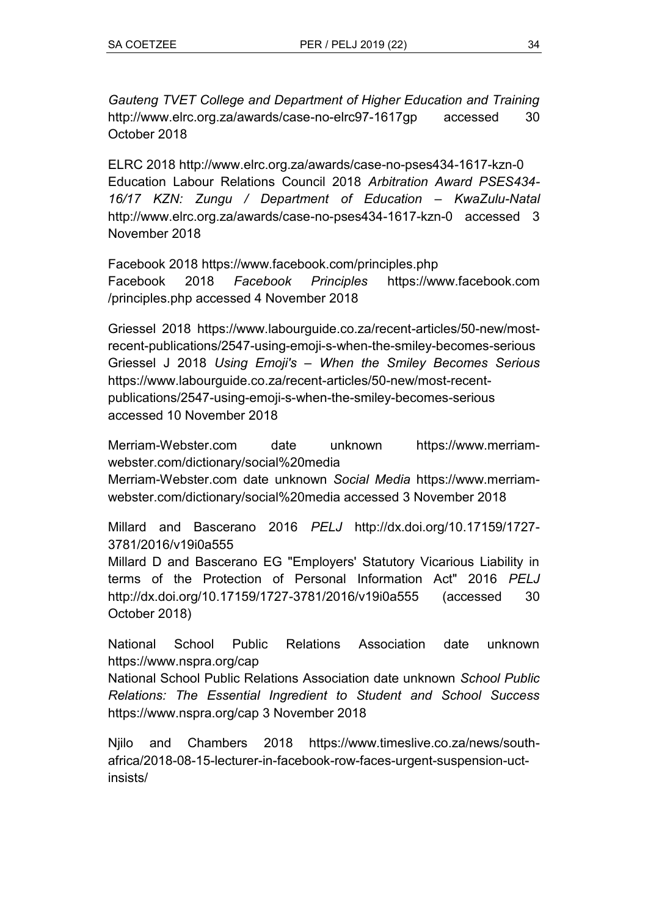*Gauteng TVET College and Department of Higher Education and Training* <http://www.elrc.org.za/awards/case-no-elrc97-1617gp> accessed 30 October 2018

ELRC 2018<http://www.elrc.org.za/awards/case-no-pses434-1617-kzn-0> Education Labour Relations Council 2018 *Arbitration Award PSES434- 16/17 KZN: Zungu / Department of Education – KwaZulu-Natal* <http://www.elrc.org.za/awards/case-no-pses434-1617-kzn-0> accessed 3 November 2018

Facebook 2018<https://www.facebook.com/principles.php> Facebook 2018 *Facebook Principles* https://www.facebook.com /principles.php accessed 4 November 2018

Griessel 2018 [https://www.labourguide.co.za/recent-articles/50-new/most](https://www.labourguide.co.za/recent-articles/50-new/most-recent-publications/2547-using-emoji-s-when-the-smiley-becomes-serious)[recent-publications/2547-using-emoji-s-when-the-smiley-becomes-serious](https://www.labourguide.co.za/recent-articles/50-new/most-recent-publications/2547-using-emoji-s-when-the-smiley-becomes-serious) Griessel J 2018 *Using Emoji's – When the Smiley Becomes Serious* [https://www.labourguide.co.za/recent-articles/50-new/most-recent](https://www.labourguide.co.za/recent-articles/50-new/most-recent-publications/2547-using-emoji-s-when-the-smiley-becomes-serious)[publications/2547-using-emoji-s-when-the-smiley-becomes-serious](https://www.labourguide.co.za/recent-articles/50-new/most-recent-publications/2547-using-emoji-s-when-the-smiley-becomes-serious) accessed 10 November 2018

Merriam-Webster.com date unknown [https://www.merriam](https://www.merriam-webster.com/dictionary/social%20media)[webster.com/dictionary/social%20media](https://www.merriam-webster.com/dictionary/social%20media)

Merriam-Webster.com date unknown *Social Media* [https://www.merriam](https://www.merriam-webster.com/dictionary/social%20media)[webster.com/dictionary/social%20media](https://www.merriam-webster.com/dictionary/social%20media) accessed 3 November 2018

Millard and Bascerano 2016 *PELJ* http://dx.doi.org/10.17159/1727- 3781/2016/v19i0a555

Millard D and Bascerano EG "Employers' Statutory Vicarious Liability in terms of the Protection of Personal Information Act<sup>"</sup> 2016 *PELJ* <http://dx.doi.org/10.17159/1727-3781/2016/v19i0a555> (accessed 30 October 2018)

National School Public Relations Association date unknown <https://www.nspra.org/cap>

National School Public Relations Association date unknown *School Public Relations: The Essential Ingredient to Student and School Success* <https://www.nspra.org/cap> 3 November 2018

Njilo and Chambers 2018 [https://www.timeslive.co.za/news/south](https://www.timeslive.co.za/news/south-africa/2018-08-15-lecturer-in-facebook-row-faces-urgent-suspension-uct-insists/)[africa/2018-08-15-lecturer-in-facebook-row-faces-urgent-suspension-uct](https://www.timeslive.co.za/news/south-africa/2018-08-15-lecturer-in-facebook-row-faces-urgent-suspension-uct-insists/)[insists/](https://www.timeslive.co.za/news/south-africa/2018-08-15-lecturer-in-facebook-row-faces-urgent-suspension-uct-insists/)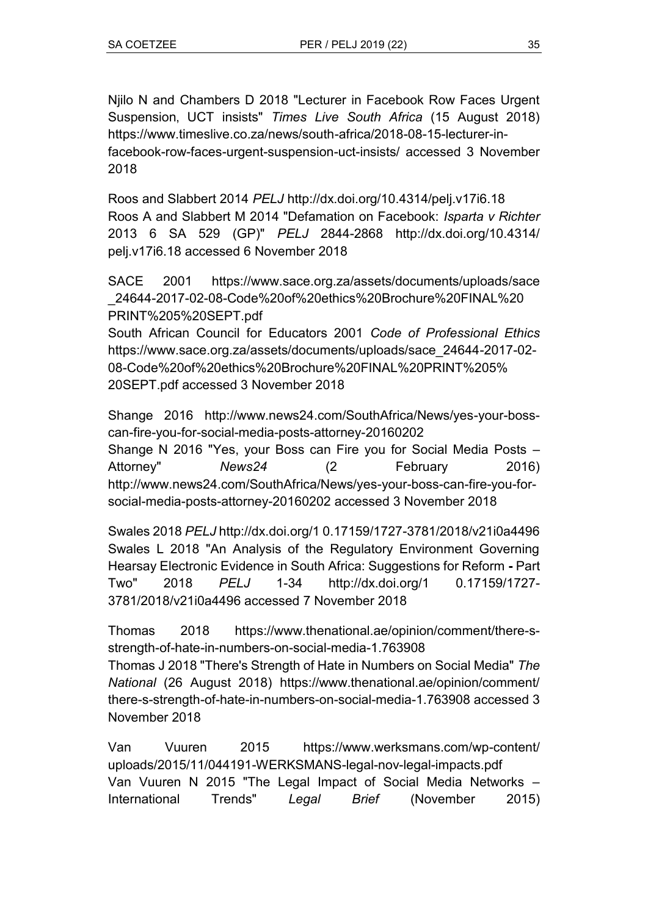Njilo N and Chambers D 2018 "Lecturer in Facebook Row Faces Urgent Suspension, UCT insists" Times Live South Africa (15 August 2018) [https://www.timeslive.co.za/news/south-africa/2018-08-15-lecturer-in](https://www.timeslive.co.za/news/south-africa/2018-08-15-lecturer-in-facebook-row-faces-urgent-suspension-uct-insists/)[facebook-row-faces-urgent-suspension-uct-insists/](https://www.timeslive.co.za/news/south-africa/2018-08-15-lecturer-in-facebook-row-faces-urgent-suspension-uct-insists/) accessed 3 November 2018

Roos and Slabbert 2014 *PELJ* <http://dx.doi.org/10.4314/pelj.v17i6.18> Roos A and Slabbert M 2014 "Defamation on Facebook: *Isparta v Richter* 2013 6 SA 529 (GP)ʺ *PELJ* 2844-2868 http://dx.doi.org/10.4314/ pelj.v17i6.18 accessed 6 November 2018

SACE 2001 https://www.sace.org.za/assets/documents/uploads/sace \_24644-2017-02-08-Code%20of%20ethics%20Brochure%20FINAL%20 PRINT%205%20SEPT.pdf

South African Council for Educators 2001 *Code of Professional Ethics* https://www.sace.org.za/assets/documents/uploads/sace\_24644-2017-02- 08-Code%20of%20ethics%20Brochure%20FINAL%20PRINT%205% 20SEPT.pdf accessed 3 November 2018

Shange 2016 http://www.news24.com/SouthAfrica/News/yes-your-bosscan-fire-you-for-social-media-posts-attorney-20160202 Shange N 2016 "Yes, your Boss can Fire you for Social Media Posts -Attorney'' **News24** (2 February 2016) [http://www.news24.com/SouthAfrica/News/yes-your-boss-can-fire-you-for](http://www.news24.com/SouthAfrica/News/yes-your-boss-can-fire-you-for-social-media-posts-attorney-20160202)[social-media-posts-attorney-20160202](http://www.news24.com/SouthAfrica/News/yes-your-boss-can-fire-you-for-social-media-posts-attorney-20160202) accessed 3 November 2018

Swales 2018 *PELJ* http://dx.doi.org/1 0.17159/1727-3781/2018/v21i0a4496 Swales L 2018 "An Analysis of the Regulatory Environment Governing Hearsay Electronic Evidence in South Africa: Suggestions for Reform **-** Part Twoʺ 2018 *PELJ* 1-34 http://dx.doi.org/1 0.17159/1727- 3781/2018/v21i0a4496 accessed 7 November 2018

Thomas 2018 [https://www.thenational.ae/opinion/comment/there-s](https://www.thenational.ae/opinion/comment/there-s-strength-of-hate-in-numbers-on-social-media-1.763908)[strength-of-hate-in-numbers-on-social-media-1.763908](https://www.thenational.ae/opinion/comment/there-s-strength-of-hate-in-numbers-on-social-media-1.763908)

Thomas J 2018 ʺThere's Strength of Hate in Numbers on Social Mediaʺ *The National* (26 August 2018) https://www.thenational.ae/opinion/comment/ there-s-strength-of-hate-in-numbers-on-social-media-1.763908 accessed 3 November 2018

Van Vuuren 2015 https://www.werksmans.com/wp-content/ uploads/2015/11/044191-WERKSMANS-legal-nov-legal-impacts.pdf Van Vuuren N 2015 "The Legal Impact of Social Media Networks -International Trendsʺ *Legal Brief* (November 2015)